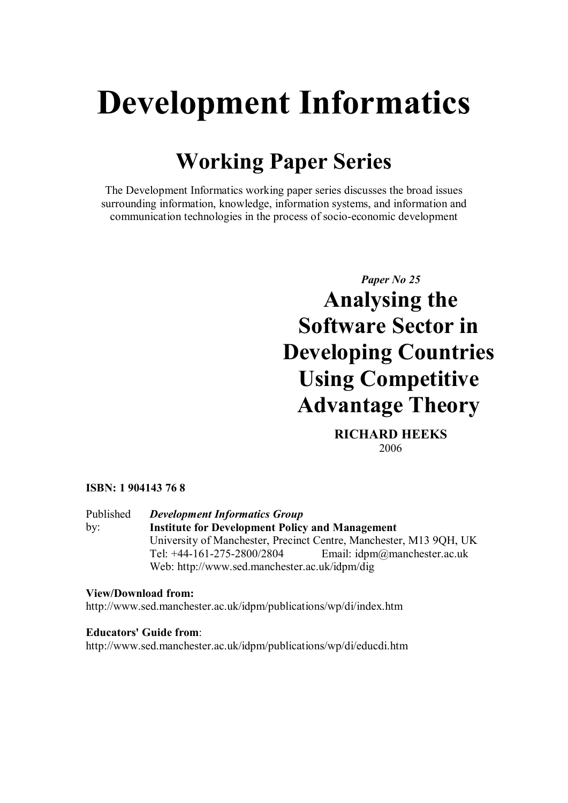# **Development Informatics**

## **Working Paper Series**

The Development Informatics working paper series discusses the broad issues surrounding information, knowledge, information systems, and information and communication technologies in the process of socio-economic development

> *Paper No 25* **Analysing the Software Sector in Developing Countries Using Competitive Advantage Theory**

> > **RICHARD HEEKS** 2006

## **ISBN: 1 904143 76 8**

Published by: *Development Informatics Group* **Institute for Development Policy and Management** University of Manchester, Precinct Centre, Manchester, M13 9QH, UK Tel: +44-161-275-2800/2804 Email: idpm@manchester.ac.uk Web: http://www.sed.manchester.ac.uk/idpm/dig

## **View/Download from:** http://www.sed.manchester.ac.uk/idpm/publications/wp/di/index.htm

#### **Educators' Guide from**: http://www.sed.manchester.ac.uk/idpm/publications/wp/di/educdi.htm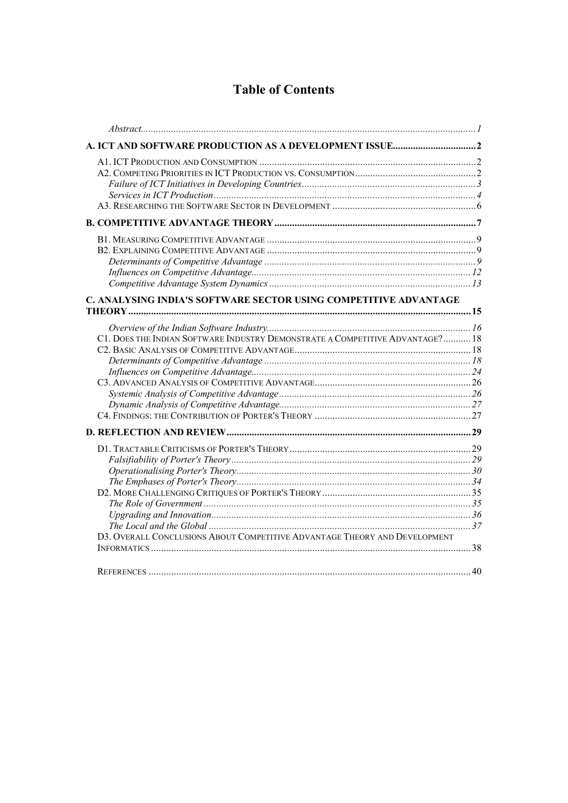## **Table of Contents**

| C1. DOES THE INDIAN SOFTWARE INDUSTRY DEMONSTRATE A COMPETITIVE ADVANTAGE? 18<br>D3. OVERALL CONCLUSIONS ABOUT COMPETITIVE ADVANTAGE THEORY AND DEVELOPMENT |                                                                  |  |
|-------------------------------------------------------------------------------------------------------------------------------------------------------------|------------------------------------------------------------------|--|
|                                                                                                                                                             |                                                                  |  |
|                                                                                                                                                             |                                                                  |  |
|                                                                                                                                                             |                                                                  |  |
|                                                                                                                                                             |                                                                  |  |
|                                                                                                                                                             |                                                                  |  |
|                                                                                                                                                             |                                                                  |  |
|                                                                                                                                                             |                                                                  |  |
|                                                                                                                                                             |                                                                  |  |
|                                                                                                                                                             |                                                                  |  |
|                                                                                                                                                             |                                                                  |  |
|                                                                                                                                                             |                                                                  |  |
|                                                                                                                                                             |                                                                  |  |
|                                                                                                                                                             | C. ANALYSING INDIA'S SOFTWARE SECTOR USING COMPETITIVE ADVANTAGE |  |
|                                                                                                                                                             |                                                                  |  |
|                                                                                                                                                             |                                                                  |  |
|                                                                                                                                                             |                                                                  |  |
|                                                                                                                                                             |                                                                  |  |
|                                                                                                                                                             |                                                                  |  |
|                                                                                                                                                             |                                                                  |  |
|                                                                                                                                                             |                                                                  |  |
|                                                                                                                                                             |                                                                  |  |
|                                                                                                                                                             |                                                                  |  |
|                                                                                                                                                             |                                                                  |  |
|                                                                                                                                                             |                                                                  |  |
|                                                                                                                                                             |                                                                  |  |
|                                                                                                                                                             |                                                                  |  |
|                                                                                                                                                             |                                                                  |  |
|                                                                                                                                                             |                                                                  |  |
|                                                                                                                                                             |                                                                  |  |
|                                                                                                                                                             |                                                                  |  |
|                                                                                                                                                             |                                                                  |  |
|                                                                                                                                                             |                                                                  |  |
|                                                                                                                                                             |                                                                  |  |
|                                                                                                                                                             |                                                                  |  |
|                                                                                                                                                             |                                                                  |  |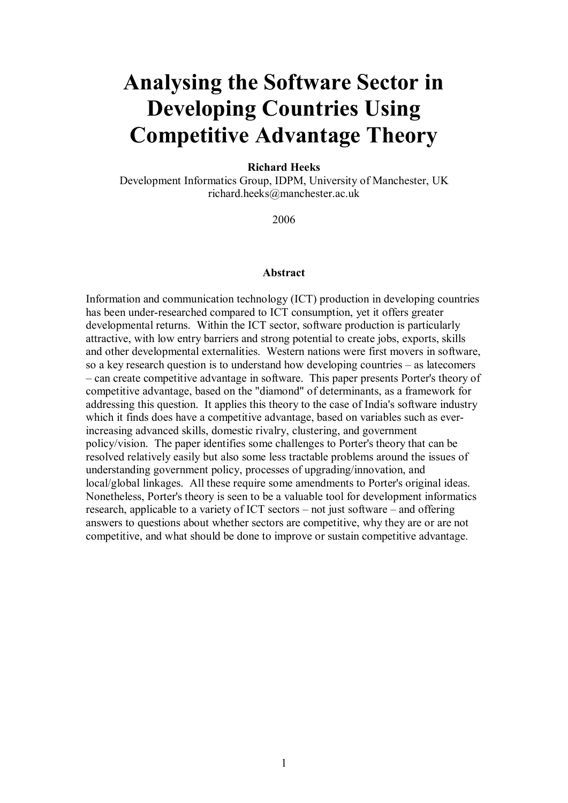## **Analysing the Software Sector in Developing Countries Using Competitive Advantage Theory**

#### **Richard Heeks**

Development Informatics Group, IDPM, University of Manchester, UK richard.heeks@manchester.ac.uk

2006

#### <span id="page-2-0"></span>**Abstract**

Information and communication technology (ICT) production in developing countries has been under-researched compared to ICT consumption, yet it offers greater developmental returns. Within the ICT sector, software production is particularly attractive, with low entry barriers and strong potential to create jobs, exports, skills and other developmental externalities. Western nations were first movers in software, so a key research question is to understand how developing countries – as latecomers – can create competitive advantage in software. This paper presents Porter's theory of competitive advantage, based on the "diamond" of determinants, as a framework for addressing this question. It applies this theory to the case of India's software industry which it finds does have a competitive advantage, based on variables such as everincreasing advanced skills, domestic rivalry, clustering, and government policy/vision. The paper identifies some challenges to Porter's theory that can be resolved relatively easily but also some less tractable problems around the issues of understanding government policy, processes of upgrading/innovation, and local/global linkages. All these require some amendments to Porter's original ideas. Nonetheless, Porter's theory is seen to be a valuable tool for development informatics research, applicable to a variety of ICT sectors – not just software – and offering answers to questions about whether sectors are competitive, why they are or are not competitive, and what should be done to improve or sustain competitive advantage.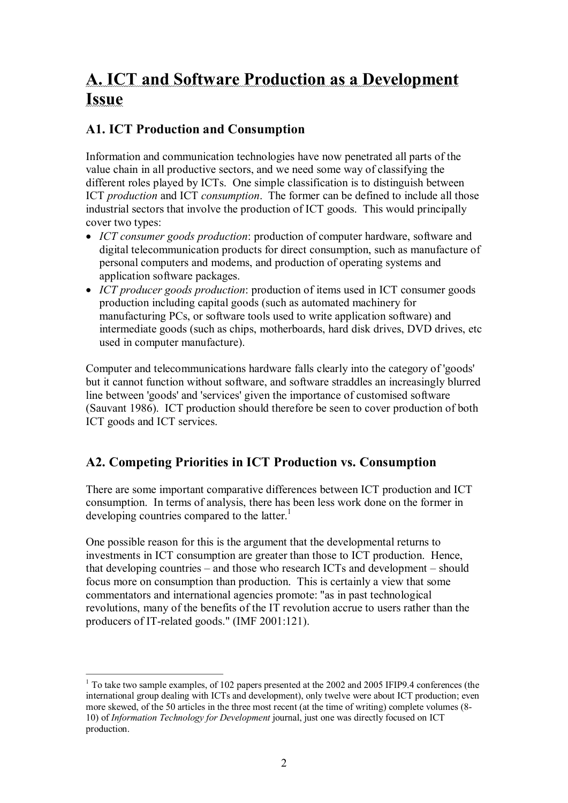## <span id="page-3-0"></span>**A. ICT and Software Production as a Development Issue**

## <span id="page-3-1"></span>**A1. ICT Production and Consumption**

Information and communication technologies have now penetrated all parts of the value chain in all productive sectors, and we need some way of classifying the different roles played by ICTs. One simple classification is to distinguish between ICT *production* and ICT *consumption*. The former can be defined to include all those industrial sectors that involve the production of ICT goods. This would principally cover two types:

- · *ICT consumer goods production*: production of computer hardware, software and digital telecommunication products for direct consumption, such as manufacture of personal computers and modems, and production of operating systems and application software packages.
- · *ICT producer goods production*: production of items used in ICT consumer goods production including capital goods (such as automated machinery for manufacturing PCs, or software tools used to write application software) and intermediate goods (such as chips, motherboards, hard disk drives, DVD drives, etc used in computer manufacture).

Computer and telecommunications hardware falls clearly into the category of 'goods' but it cannot function without software, and software straddles an increasingly blurred line between 'goods' and 'services' given the importance of customised software (Sauvant 1986). ICT production should therefore be seen to cover production of both ICT goods and ICT services.

## <span id="page-3-2"></span>**A2. Competing Priorities in ICT Production vs. Consumption**

There are some important comparative differences between ICT production and ICT consumption. In terms of analysis, there has been less work done on the former in developing countries compared to the latter.<sup>1</sup>

One possible reason for this is the argument that the developmental returns to investments in ICT consumption are greater than those to ICT production. Hence, that developing countries – and those who research ICTs and development – should focus more on consumption than production. This is certainly a view that some commentators and international agencies promote: "as in past technological revolutions, many of the benefits of the IT revolution accrue to users rather than the producers of IT-related goods." (IMF 2001:121).

 $1$  To take two sample examples, of 102 papers presented at the 2002 and 2005 IFIP9.4 conferences (the international group dealing with ICTs and development), only twelve were about ICT production; even more skewed, of the 50 articles in the three most recent (at the time of writing) complete volumes (8 10) of *Information Technology for Development* journal, just one was directly focused on ICT production.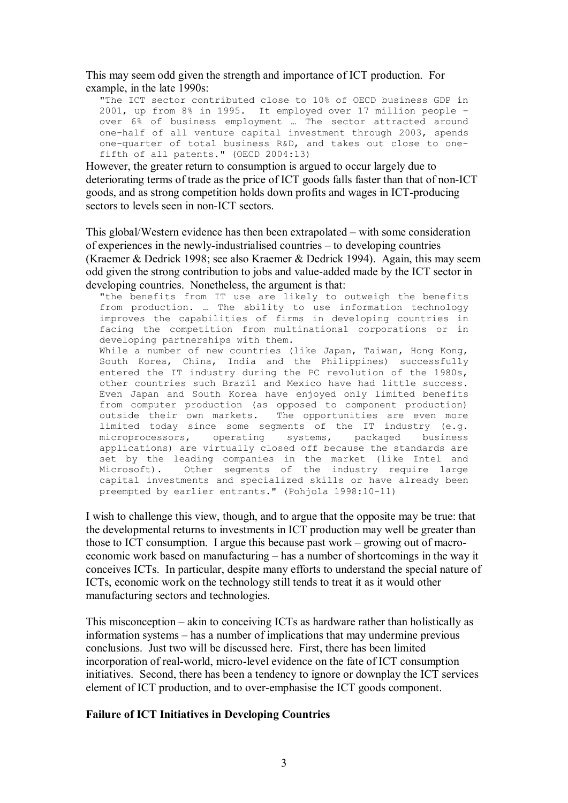This may seem odd given the strength and importance of ICT production. For example, in the late 1990s:

"The ICT sector contributed close to 10% of OECD business GDP in 2001, up from 8% in 1995. It employed over 17 million people – over 6% of business employment … The sector attracted around one-half of all venture capital investment through 2003, spends one-quarter of total business R&D, and takes out close to onefifth of all patents." (OECD 2004:13)

However, the greater return to consumption is argued to occur largely due to deteriorating terms of trade as the price of ICT goods falls faster than that of non-ICT goods, and as strong competition holds down profits and wages in ICT-producing sectors to levels seen in non-ICT sectors.

This global/Western evidence has then been extrapolated – with some consideration of experiences in the newly-industrialised countries – to developing countries (Kraemer & Dedrick 1998; see also Kraemer & Dedrick 1994). Again, this may seem odd given the strong contribution to jobs and value-added made by the ICT sector in developing countries. Nonetheless, the argument is that:

"the benefits from IT use are likely to outweigh the benefits from production. … The ability to use information technology improves the capabilities of firms in developing countries in facing the competition from multinational corporations or in developing partnerships with them.

While a number of new countries (like Japan, Taiwan, Hong Kong, South Korea, China, India and the Philippines) successfully entered the IT industry during the PC revolution of the 1980s, other countries such Brazil and Mexico have had little success. Even Japan and South Korea have enjoyed only limited benefits from computer production (as opposed to component production) outside their own markets. The opportunities are even more limited today since some segments of the IT industry (e.g. microprocessors, operating systems, packaged business applications) are virtually closed off because the standards are set by the leading companies in the market (like Intel and Microsoft). Other segments of the industry require large capital investments and specialized skills or have already been preempted by earlier entrants." (Pohjola 1998:10-11)

I wish to challenge this view, though, and to argue that the opposite may be true: that the developmental returns to investments in ICT production may well be greater than those to ICT consumption. I argue this because past work – growing out of macro economic work based on manufacturing – has a number of shortcomings in the way it conceives ICTs. In particular, despite many efforts to understand the special nature of ICTs, economic work on the technology still tends to treat it as it would other manufacturing sectors and technologies.

This misconception – akin to conceiving ICTs as hardware rather than holistically as information systems – has a number of implications that may undermine previous conclusions. Just two will be discussed here. First, there has been limited incorporation of real-world, micro-level evidence on the fate of ICT consumption initiatives. Second, there has been a tendency to ignore or downplay the ICT services element of ICT production, and to overemphasise the ICT goods component.

#### <span id="page-4-0"></span>**Failure of ICT Initiatives in Developing Countries**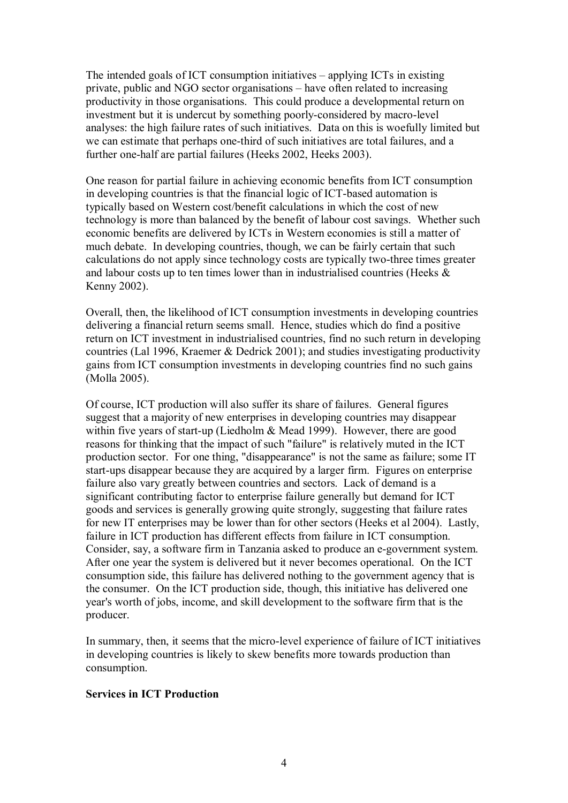The intended goals of ICT consumption initiatives – applying ICTs in existing private, public and NGO sector organisations – have often related to increasing productivity in those organisations. This could produce a developmental return on investment but it is undercut by something poorly-considered by macro-level analyses: the high failure rates of such initiatives. Data on this is woefully limited but we can estimate that perhaps one-third of such initiatives are total failures, and a further one-half are partial failures (Heeks 2002, Heeks 2003).

One reason for partial failure in achieving economic benefits from ICT consumption in developing countries is that the financial logic of ICT-based automation is typically based on Western cost/benefit calculations in which the cost of new technology is more than balanced by the benefit of labour cost savings. Whether such economic benefits are delivered by ICTs in Western economies is still a matter of much debate. In developing countries, though, we can be fairly certain that such calculations do not apply since technology costs are typically two-three times greater and labour costs up to ten times lower than in industrialised countries (Heeks & Kenny 2002).

Overall, then, the likelihood of ICT consumption investments in developing countries delivering a financial return seems small. Hence, studies which do find a positive return on ICT investment in industrialised countries, find no such return in developing countries (Lal 1996, Kraemer & Dedrick 2001); and studies investigating productivity gains from ICT consumption investments in developing countries find no such gains (Molla 2005).

Of course, ICT production will also suffer its share of failures. General figures suggest that a majority of new enterprises in developing countries may disappear within five years of start-up (Liedholm  $&$  Mead 1999). However, there are good reasons for thinking that the impact of such "failure" is relatively muted in the ICT production sector. For one thing, "disappearance" is not the same as failure; some IT start-ups disappear because they are acquired by a larger firm. Figures on enterprise failure also vary greatly between countries and sectors. Lack of demand is a significant contributing factor to enterprise failure generally but demand for ICT goods and services is generally growing quite strongly, suggesting that failure rates for new IT enterprises may be lower than for other sectors (Heeks et al 2004). Lastly, failure in ICT production has different effects from failure in ICT consumption. Consider, say, a software firm in Tanzania asked to produce an e-government system. After one year the system is delivered but it never becomes operational. On the ICT consumption side, this failure has delivered nothing to the government agency that is the consumer. On the ICT production side, though, this initiative has delivered one year's worth of jobs, income, and skill development to the software firm that is the producer.

In summary, then, it seems that the micro-level experience of failure of ICT initiatives in developing countries is likely to skew benefits more towards production than consumption.

## <span id="page-5-0"></span>**Services in ICT Production**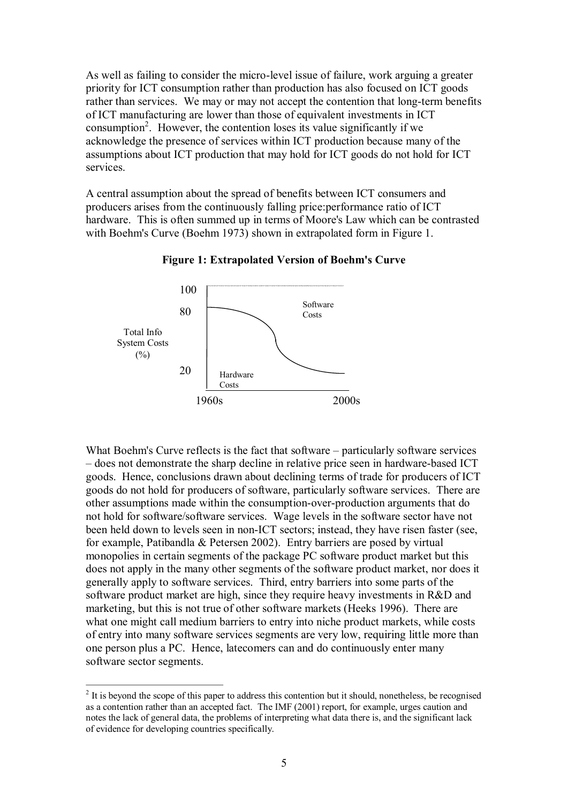As well as failing to consider the micro-level issue of failure, work arguing a greater priority for ICT consumption rather than production has also focused on ICT goods rather than services. We may or may not accept the contention that long-term benefits of ICT manufacturing are lower than those of equivalent investments in ICT consumption<sup>2</sup>. However, the contention loses its value significantly if we acknowledge the presence of services within ICT production because many of the assumptions about ICT production that may hold for ICT goods do not hold for ICT services.

A central assumption about the spread of benefits between ICT consumers and producers arises from the continuously falling price:performance ratio of ICT hardware. This is often summed up in terms of Moore's Law which can be contrasted with Boehm's Curve (Boehm 1973) shown in extrapolated form in Figure 1.



**Figure 1: Extrapolated Version of Boehm's Curve**

What Boehm's Curve reflects is the fact that software – particularly software services – does not demonstrate the sharp decline in relative price seen in hardware-based ICT goods. Hence, conclusions drawn about declining terms of trade for producers of ICT goods do not hold for producers of software, particularly software services. There are other assumptions made within the consumption-over-production arguments that do not hold for software/software services. Wage levels in the software sector have not been held down to levels seen in non-ICT sectors; instead, they have risen faster (see, for example, Patibandla & Petersen 2002). Entry barriers are posed by virtual monopolies in certain segments of the package PC software product market but this does not apply in the many other segments of the software product market, nor does it generally apply to software services. Third, entry barriers into some parts of the software product market are high, since they require heavy investments in R&D and marketing, but this is not true of other software markets (Heeks 1996). There are what one might call medium barriers to entry into niche product markets, while costs of entry into many software services segments are very low, requiring little more than one person plus a PC. Hence, latecomers can and do continuously enter many software sector segments.

<sup>&</sup>lt;sup>2</sup> It is beyond the scope of this paper to address this contention but it should, nonetheless, be recognised as a contention rather than an accepted fact. The IMF (2001) report, for example, urges caution and notes the lack of general data, the problems of interpreting what data there is, and the significant lack of evidence for developing countries specifically.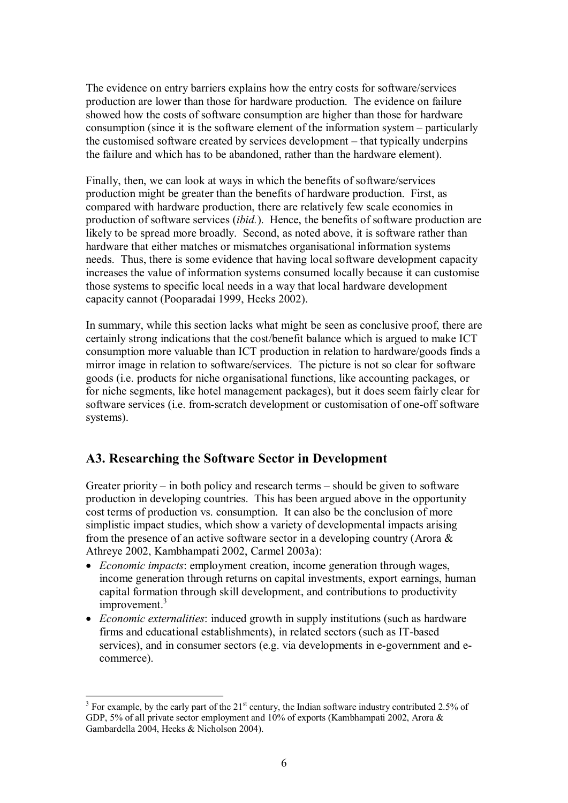The evidence on entry barriers explains how the entry costs for software/services production are lower than those for hardware production. The evidence on failure showed how the costs of software consumption are higher than those for hardware consumption (since it is the software element of the information system – particularly the customised software created by services development – that typically underpins the failure and which has to be abandoned, rather than the hardware element).

Finally, then, we can look at ways in which the benefits of software/services production might be greater than the benefits of hardware production. First, as compared with hardware production, there are relatively few scale economies in production of software services (*ibid.*). Hence, the benefits of software production are likely to be spread more broadly. Second, as noted above, it is software rather than hardware that either matches or mismatches organisational information systems needs. Thus, there is some evidence that having local software development capacity increases the value of information systems consumed locally because it can customise those systems to specific local needs in a way that local hardware development capacity cannot (Pooparadai 1999, Heeks 2002).

In summary, while this section lacks what might be seen as conclusive proof, there are certainly strong indications that the cost/benefit balance which is argued to make ICT consumption more valuable than ICT production in relation to hardware/goods finds a mirror image in relation to software/services. The picture is not so clear for software goods (i.e. products for niche organisational functions, like accounting packages, or for niche segments, like hotel management packages), but it does seem fairly clear for software services (i.e. from-scratch development or customisation of one-off software systems).

## <span id="page-7-0"></span>**A3. Researching the Software Sector in Development**

Greater priority – in both policy and research terms – should be given to software production in developing countries. This has been argued above in the opportunity cost terms of production vs. consumption. It can also be the conclusion of more simplistic impact studies, which show a variety of developmental impacts arising from the presence of an active software sector in a developing country (Arora & Athreye 2002, Kambhampati 2002, Carmel 2003a):

- · *Economic impacts*: employment creation, income generation through wages, income generation through returns on capital investments, export earnings, human capital formation through skill development, and contributions to productivity improvement.<sup>3</sup>
- · *Economic externalities*: induced growth in supply institutions (such as hardware firms and educational establishments), in related sectors (such as IT-based services), and in consumer sectors (e.g. via developments in e-government and ecommerce).

<sup>&</sup>lt;sup>3</sup> For example, by the early part of the 21<sup>st</sup> century, the Indian software industry contributed 2.5% of GDP, 5% of all private sector employment and 10% of exports (Kambhampati 2002, Arora & Gambardella 2004, Heeks & Nicholson 2004).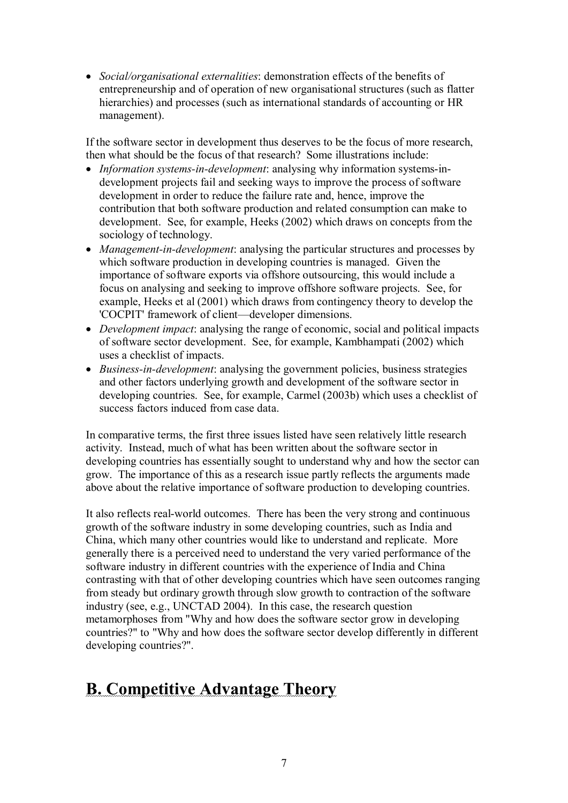· *Social/organisational externalities*: demonstration effects of the benefits of entrepreneurship and of operation of new organisational structures (such as flatter hierarchies) and processes (such as international standards of accounting or HR management).

If the software sector in development thus deserves to be the focus of more research, then what should be the focus of that research? Some illustrations include:

- *Information systems-in-development*: analysing why information systems-indevelopment projects fail and seeking ways to improve the process of software development in order to reduce the failure rate and, hence, improve the contribution that both software production and related consumption can make to development. See, for example, Heeks (2002) which draws on concepts from the sociology of technology.
- *Management-in-development*: analysing the particular structures and processes by which software production in developing countries is managed. Given the importance of software exports via offshore outsourcing, this would include a focus on analysing and seeking to improve offshore software projects. See, for example, Heeks et al (2001) which draws from contingency theory to develop the 'COCPIT' framework of client—developer dimensions.
- · *Development impact*: analysing the range of economic, social and political impacts of software sector development. See, for example, Kambhampati (2002) which uses a checklist of impacts.
- *Business-in-development*: analysing the government policies, business strategies and other factors underlying growth and development of the software sector in developing countries. See, for example, Carmel (2003b) which uses a checklist of success factors induced from case data.

In comparative terms, the first three issues listed have seen relatively little research activity. Instead, much of what has been written about the software sector in developing countries has essentially sought to understand why and how the sector can grow. The importance of this as a research issue partly reflects the arguments made above about the relative importance of software production to developing countries.

It also reflects real-world outcomes. There has been the very strong and continuous growth of the software industry in some developing countries, such as India and China, which many other countries would like to understand and replicate. More generally there is a perceived need to understand the very varied performance of the software industry in different countries with the experience of India and China contrasting with that of other developing countries which have seen outcomes ranging from steady but ordinary growth through slow growth to contraction of the software industry (see, e.g., UNCTAD 2004). In this case, the research question metamorphoses from "Why and how does the software sector grow in developing countries?" to "Why and how does the software sector develop differently in different developing countries?".

## <span id="page-8-0"></span>**B. Competitive Advantage Theory**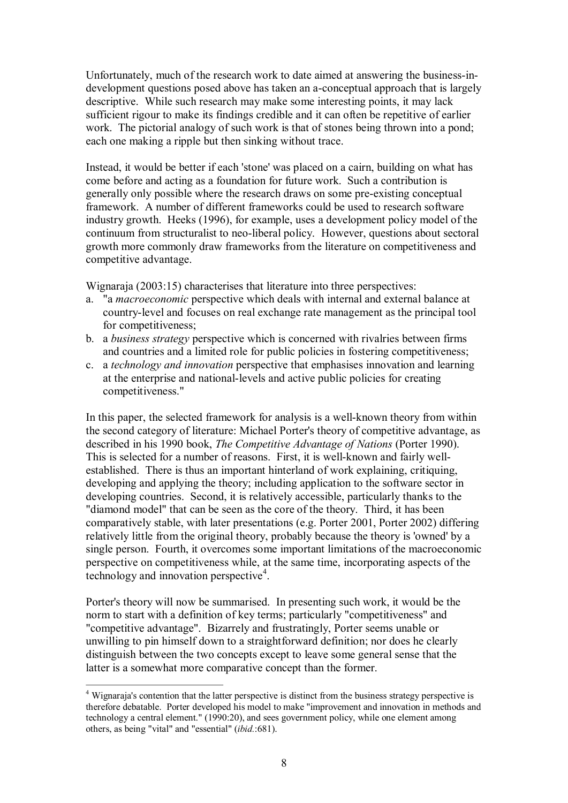Unfortunately, much of the research work to date aimed at answering the business-indevelopment questions posed above has taken an a-conceptual approach that is largely descriptive. While such research may make some interesting points, it may lack sufficient rigour to make its findings credible and it can often be repetitive of earlier work. The pictorial analogy of such work is that of stones being thrown into a pond; each one making a ripple but then sinking without trace.

Instead, it would be better if each 'stone' was placed on a cairn, building on what has come before and acting as a foundation for future work. Such a contribution is generally only possible where the research draws on some pre-existing conceptual framework. A number of different frameworks could be used to research software industry growth. Heeks (1996), for example, uses a development policy model of the continuum from structuralist to neo-liberal policy. However, questions about sectoral growth more commonly draw frameworks from the literature on competitiveness and competitive advantage.

Wignaraja (2003:15) characterises that literature into three perspectives:

- a. "a *macroeconomic* perspective which deals with internal and external balance at country-level and focuses on real exchange rate management as the principal tool for competitiveness;
- b. a *business strategy* perspective which is concerned with rivalries between firms and countries and a limited role for public policies in fostering competitiveness;
- c. a *technology and innovation* perspective that emphasises innovation and learning at the enterprise and national-levels and active public policies for creating competitiveness."

In this paper, the selected framework for analysis is a well-known theory from within the second category of literature: Michael Porter's theory of competitive advantage, as described in his 1990 book, *The Competitive Advantage of Nations* (Porter 1990). This is selected for a number of reasons. First, it is well-known and fairly wellestablished. There is thus an important hinterland of work explaining, critiquing, developing and applying the theory; including application to the software sector in developing countries. Second, it is relatively accessible, particularly thanks to the "diamond model" that can be seen as the core of the theory. Third, it has been comparatively stable, with later presentations (e.g. Porter 2001, Porter 2002) differing relatively little from the original theory, probably because the theory is 'owned' by a single person. Fourth, it overcomes some important limitations of the macroeconomic perspective on competitiveness while, at the same time, incorporating aspects of the technology and innovation perspective<sup>4</sup>.

Porter's theory will now be summarised. In presenting such work, it would be the norm to start with a definition of key terms; particularly "competitiveness" and "competitive advantage". Bizarrely and frustratingly, Porter seems unable or unwilling to pin himself down to a straightforward definition; nor does he clearly distinguish between the two concepts except to leave some general sense that the latter is a somewhat more comparative concept than the former.

<sup>4</sup> Wignaraja's contention that the latter perspective is distinct from the business strategy perspective is therefore debatable. Porter developed his model to make "improvement and innovation in methods and technology a central element." (1990:20), and sees government policy, while one element among others, as being "vital" and "essential" (*ibid.*:681).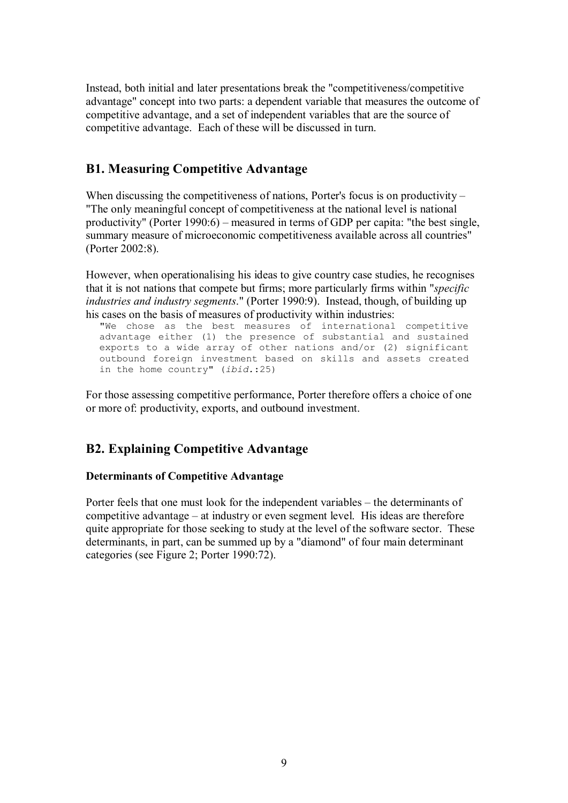Instead, both initial and later presentations break the "competitiveness/competitive advantage" concept into two parts: a dependent variable that measures the outcome of competitive advantage, and a set of independent variables that are the source of competitive advantage. Each of these will be discussed in turn.

## <span id="page-10-0"></span>**B1. Measuring Competitive Advantage**

When discussing the competitiveness of nations, Porter's focus is on productivity – "The only meaningful concept of competitiveness at the national level is national productivity" (Porter 1990:6) – measured in terms of GDP per capita: "the best single, summary measure of microeconomic competitiveness available across all countries" (Porter 2002:8).

However, when operationalising his ideas to give country case studies, he recognises that it is not nations that compete but firms; more particularly firms within "*specific industries and industry segments*." (Porter 1990:9). Instead, though, of building up his cases on the basis of measures of productivity within industries:

"We chose as the best measures of international competitive advantage either (1) the presence of substantial and sustained exports to a wide array of other nations and/or (2) significant outbound foreign investment based on skills and assets created in the home country" (*ibid.*:25)

For those assessing competitive performance, Porter therefore offers a choice of one or more of: productivity, exports, and outbound investment.

## <span id="page-10-1"></span>**B2. Explaining Competitive Advantage**

## <span id="page-10-2"></span>**Determinants of Competitive Advantage**

Porter feels that one must look for the independent variables – the determinants of competitive advantage – at industry or even segment level. His ideas are therefore quite appropriate for those seeking to study at the level of the software sector. These determinants, in part, can be summed up by a "diamond" of four main determinant categories (see Figure 2; Porter 1990:72).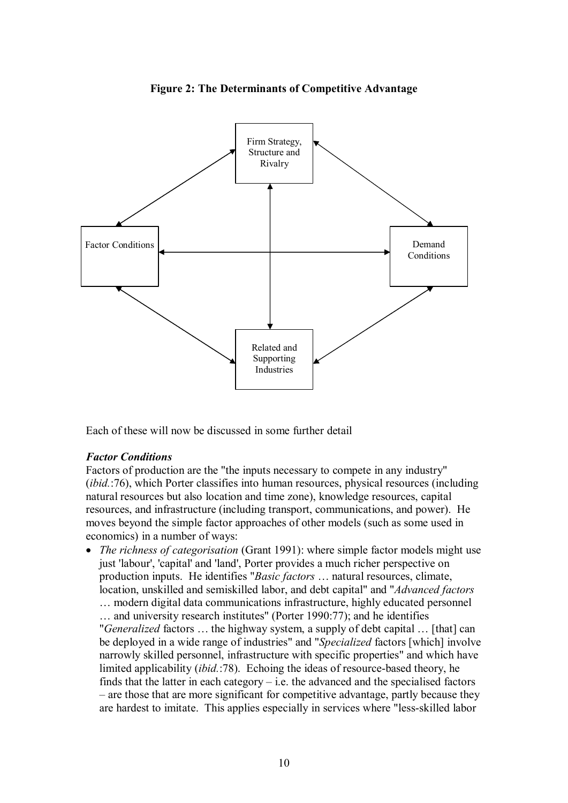

**Figure 2: The Determinants of Competitive Advantage**

Each of these will now be discussed in some further detail

## *Factor Conditions*

Factors of production are the "the inputs necessary to compete in any industry" (*ibid.*:76), which Porter classifies into human resources, physical resources (including natural resources but also location and time zone), knowledge resources, capital resources, and infrastructure (including transport, communications, and power). He moves beyond the simple factor approaches of other models (such as some used in economics) in a number of ways:

· *The richness of categorisation* (Grant 1991): where simple factor models might use just 'labour', 'capital' and 'land', Porter provides a much richer perspective on production inputs. He identifies "*Basic factors* … natural resources, climate, location, unskilled and semiskilled labor, and debt capital" and "*Advanced factors*

… modern digital data communications infrastructure, highly educated personnel … and university research institutes" (Porter 1990:77); and he identifies "*Generalized* factors … the highway system, a supply of debt capital … [that] can be deployed in a wide range of industries" and "*Specialized* factors [which] involve narrowly skilled personnel, infrastructure with specific properties" and which have limited applicability *(ibid.:*78). Echoing the ideas of resource-based theory, he finds that the latter in each category  $-$  i.e. the advanced and the specialised factors – are those that are more significant for competitive advantage, partly because they are hardest to imitate. This applies especially in services where "less-skilled labor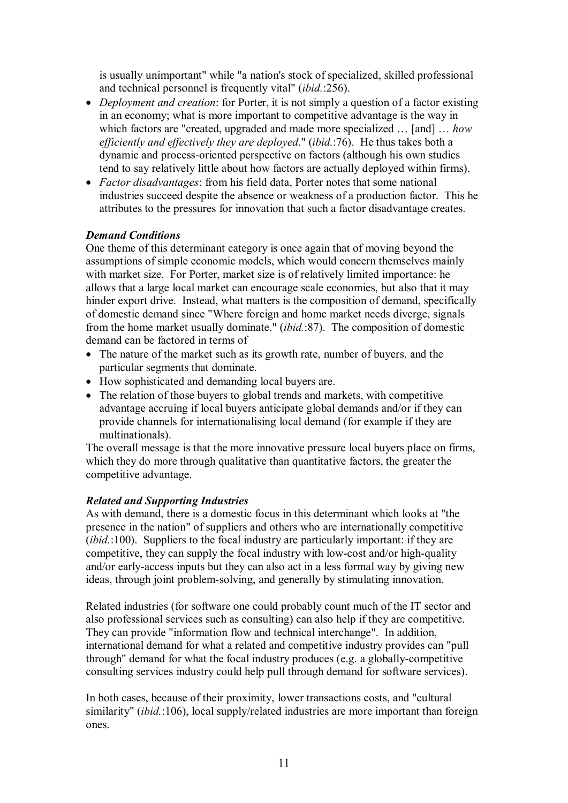is usually unimportant" while "a nation's stock of specialized, skilled professional and technical personnel is frequently vital" (*ibid.*:256).

- · *Deployment and creation*: for Porter, it is not simply a question of a factor existing in an economy; what is more important to competitive advantage is the way in which factors are "created, upgraded and made more specialized … [and] … *how efficiently and effectively they are deployed*." (*ibid.*:76). He thus takes both a dynamic and process-oriented perspective on factors (although his own studies tend to say relatively little about how factors are actually deployed within firms).
- · *Factor disadvantages*: from his field data, Porter notes that some national industries succeed despite the absence or weakness of a production factor. This he attributes to the pressures for innovation that such a factor disadvantage creates.

## *Demand Conditions*

One theme of this determinant category is once again that of moving beyond the assumptions of simple economic models, which would concern themselves mainly with market size. For Porter, market size is of relatively limited importance: he allows that a large local market can encourage scale economies, but also that it may hinder export drive. Instead, what matters is the composition of demand, specifically of domestic demand since "Where foreign and home market needs diverge, signals from the home market usually dominate." (*ibid.*:87). The composition of domestic demand can be factored in terms of

- The nature of the market such as its growth rate, number of buyers, and the particular segments that dominate.
- · How sophisticated and demanding local buyers are.
- The relation of those buyers to global trends and markets, with competitive advantage accruing if local buyers anticipate global demands and/or if they can provide channels for internationalising local demand (for example if they are multinationals).

The overall message is that the more innovative pressure local buyers place on firms, which they do more through qualitative than quantitative factors, the greater the competitive advantage.

## *Related and Supporting Industries*

As with demand, there is a domestic focus in this determinant which looks at "the presence in the nation" of suppliers and others who are internationally competitive (*ibid.*:100). Suppliers to the focal industry are particularly important: if they are competitive, they can supply the focal industry with low-cost and/or high-quality and/or early-access inputs but they can also act in a less formal way by giving new ideas, through joint problem-solving, and generally by stimulating innovation.

Related industries (for software one could probably count much of the IT sector and also professional services such as consulting) can also help if they are competitive. They can provide "information flow and technical interchange". In addition, international demand for what a related and competitive industry provides can "pull through" demand for what the focal industry produces (e.g. a globally-competitive consulting services industry could help pull through demand for software services).

In both cases, because of their proximity, lower transactions costs, and "cultural similarity" (*ibid.*:106), local supply/related industries are more important than foreign ones.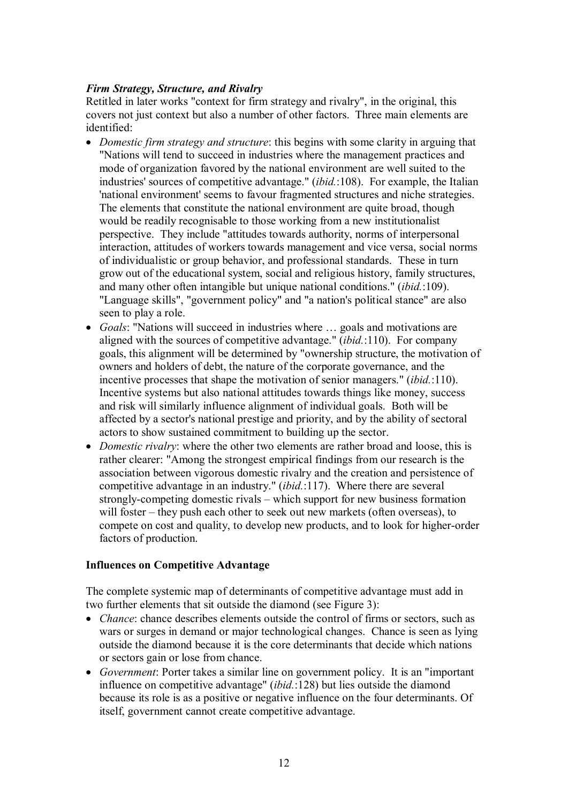## *Firm Strategy, Structure, and Rivalry*

Retitled in later works "context for firm strategy and rivalry", in the original, this covers not just context but also a number of other factors. Three main elements are identified:

- · *Domestic firm strategy and structure*: this begins with some clarity in arguing that "Nations will tend to succeed in industries where the management practices and mode of organization favored by the national environment are well suited to the industries' sources of competitive advantage." (*ibid.*:108). For example, the Italian 'national environment' seems to favour fragmented structures and niche strategies. The elements that constitute the national environment are quite broad, though would be readily recognisable to those working from a new institutionalist perspective. They include "attitudes towards authority, norms of interpersonal interaction, attitudes of workers towards management and vice versa, social norms of individualistic or group behavior, and professional standards. These in turn grow out of the educational system, social and religious history, family structures, and many other often intangible but unique national conditions." (*ibid.*:109). "Language skills", "government policy" and "a nation's political stance" are also seen to play a role.
- · *Goals*: "Nations will succeed in industries where … goals and motivations are aligned with the sources of competitive advantage." (*ibid.*:110). For company goals, this alignment will be determined by "ownership structure, the motivation of owners and holders of debt, the nature of the corporate governance, and the incentive processes that shape the motivation of senior managers." (*ibid.*:110). Incentive systems but also national attitudes towards things like money, success and risk will similarly influence alignment of individual goals. Both will be affected by a sector's national prestige and priority, and by the ability of sectoral actors to show sustained commitment to building up the sector.
- *Domestic rivalry*: where the other two elements are rather broad and loose, this is rather clearer: "Among the strongest empirical findings from our research is the association between vigorous domestic rivalry and the creation and persistence of competitive advantage in an industry." (*ibid.*:117). Where there are several strongly-competing domestic rivals – which support for new business formation will foster – they push each other to seek out new markets (often overseas), to compete on cost and quality, to develop new products, and to look for higher-order factors of production.

## <span id="page-13-0"></span>**Influences on Competitive Advantage**

The complete systemic map of determinants of competitive advantage must add in two further elements that sit outside the diamond (see Figure 3):

- · *Chance*: chance describes elements outside the control of firms or sectors, such as wars or surges in demand or major technological changes. Chance is seen as lying outside the diamond because it is the core determinants that decide which nations or sectors gain or lose from chance.
- · *Government*: Porter takes a similar line on government policy. It is an "important influence on competitive advantage" (*ibid.*:128) but lies outside the diamond because its role is as a positive or negative influence on the four determinants. Of itself, government cannot create competitive advantage.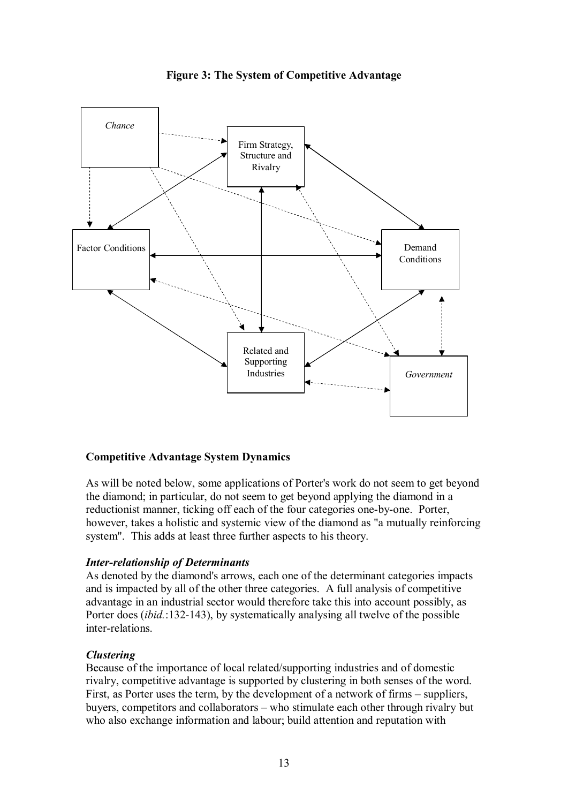

**Figure 3: The System of Competitive Advantage** 

## <span id="page-14-0"></span>**Competitive Advantage System Dynamics**

As will be noted below, some applications of Porter's work do not seem to get beyond the diamond; in particular, do not seem to get beyond applying the diamond in a reductionist manner, ticking off each of the four categories one-by-one. Porter, however, takes a holistic and systemic view of the diamond as "a mutually reinforcing system". This adds at least three further aspects to his theory.

## **Inter-relationship of Determinants**

As denoted by the diamond's arrows, each one of the determinant categories impacts and is impacted by all of the other three categories. A full analysis of competitive advantage in an industrial sector would therefore take this into account possibly, as Porter does *(ibid.*:132-143), by systematically analysing all twelve of the possible inter-relations.

## *Clustering*

Because of the importance of local related/supporting industries and of domestic rivalry, competitive advantage is supported by clustering in both senses of the word. First, as Porter uses the term, by the development of a network of firms – suppliers, buyers, competitors and collaborators – who stimulate each other through rivalry but who also exchange information and labour; build attention and reputation with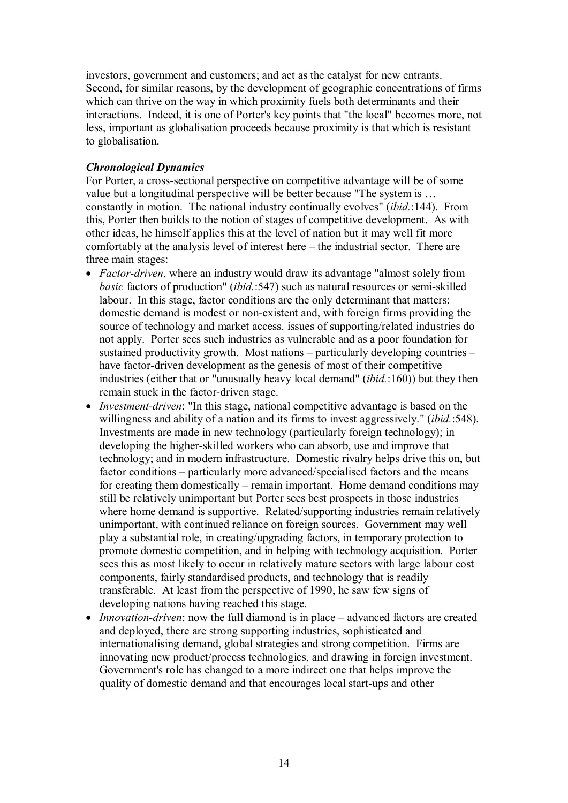investors, government and customers; and act as the catalyst for new entrants. Second, for similar reasons, by the development of geographic concentrations of firms which can thrive on the way in which proximity fuels both determinants and their interactions. Indeed, it is one of Porter's key points that "the local" becomes more, not less, important as globalisation proceeds because proximity is that which is resistant to globalisation.

## *Chronological Dynamics*

For Porter, a cross-sectional perspective on competitive advantage will be of some value but a longitudinal perspective will be better because "The system is … constantly in motion. The national industry continually evolves" (*ibid.*:144). From this, Porter then builds to the notion of stages of competitive development. As with other ideas, he himself applies this at the level of nation but it may well fit more comfortably at the analysis level of interest here – the industrial sector. There are three main stages:

- *Factor-driven*, where an industry would draw its advantage "almost solely from *basic* factors of production" (*ibid.*:547) such as natural resources or semi-skilled labour. In this stage, factor conditions are the only determinant that matters: domestic demand is modest or non-existent and, with foreign firms providing the source of technology and market access, issues of supporting/related industries do not apply. Porter sees such industries as vulnerable and as a poor foundation for sustained productivity growth. Most nations – particularly developing countries – have factor-driven development as the genesis of most of their competitive industries (either that or "unusually heavy local demand" (*ibid.*:160)) but they then remain stuck in the factor-driven stage.
- *Investment-driven*: "In this stage, national competitive advantage is based on the willingness and ability of a nation and its firms to invest aggressively." (*ibid.*:548). Investments are made in new technology (particularly foreign technology); in developing the higher-skilled workers who can absorb, use and improve that technology; and in modern infrastructure. Domestic rivalry helps drive this on, but factor conditions – particularly more advanced/specialised factors and the means for creating them domestically – remain important. Home demand conditions may still be relatively unimportant but Porter sees best prospects in those industries where home demand is supportive. Related/supporting industries remain relatively unimportant, with continued reliance on foreign sources. Government may well play a substantial role, in creating/upgrading factors, in temporary protection to promote domestic competition, and in helping with technology acquisition. Porter sees this as most likely to occur in relatively mature sectors with large labour cost components, fairly standardised products, and technology that is readily transferable. At least from the perspective of 1990, he saw few signs of developing nations having reached this stage.
- *Innovation-driven*: now the full diamond is in place advanced factors are created and deployed, there are strong supporting industries, sophisticated and internationalising demand, global strategies and strong competition. Firms are innovating new product/process technologies, and drawing in foreign investment. Government's role has changed to a more indirect one that helps improve the quality of domestic demand and that encourages local start-ups and other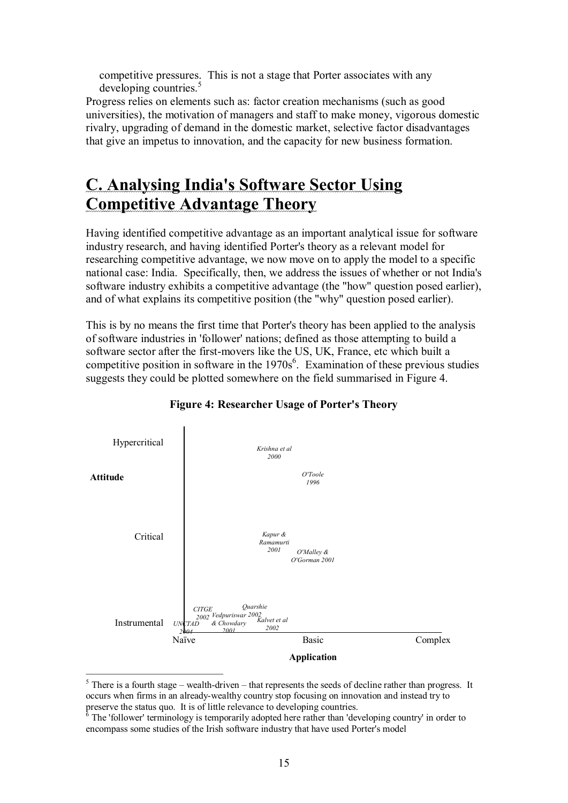competitive pressures. This is not a stage that Porter associates with any developing countries.<sup>5</sup>

Progress relies on elements such as: factor creation mechanisms (such as good universities), the motivation of managers and staff to make money, vigorous domestic rivalry, upgrading of demand in the domestic market, selective factor disadvantages that give an impetus to innovation, and the capacity for new business formation.

## <span id="page-16-0"></span>**C. Analysing India's Software Sector Using Competitive Advantage Theory**

Having identified competitive advantage as an important analytical issue for software industry research, and having identified Porter's theory as a relevant model for researching competitive advantage, we now move on to apply the model to a specific national case: India. Specifically, then, we address the issues of whether or not India's software industry exhibits a competitive advantage (the "how" question posed earlier), and of what explains its competitive position (the "why" question posed earlier).

This is by no means the first time that Porter's theory has been applied to the analysis of software industries in 'follower' nations; defined as those attempting to build a software sector after the first-movers like the US, UK, France, etc which built a competitive position in software in the  $1970s^6$ . Examination of these previous studies suggests they could be plotted somewhere on the field summarised in Figure 4.



## **Figure 4: Researcher Usage of Porter's Theory**

 $<sup>5</sup>$  There is a fourth stage – wealth-driven – that represents the seeds of decline rather than progress. It</sup> occurs when firms in an already-wealthy country stop focusing on innovation and instead try to preserve the status quo. It is of little relevance to developing countries.<br><sup>6</sup> The 'follower' terminology is temporarily adopted here rather than 'developing country' in order to

encompass some studies of the Irish software industry that have used Porter's model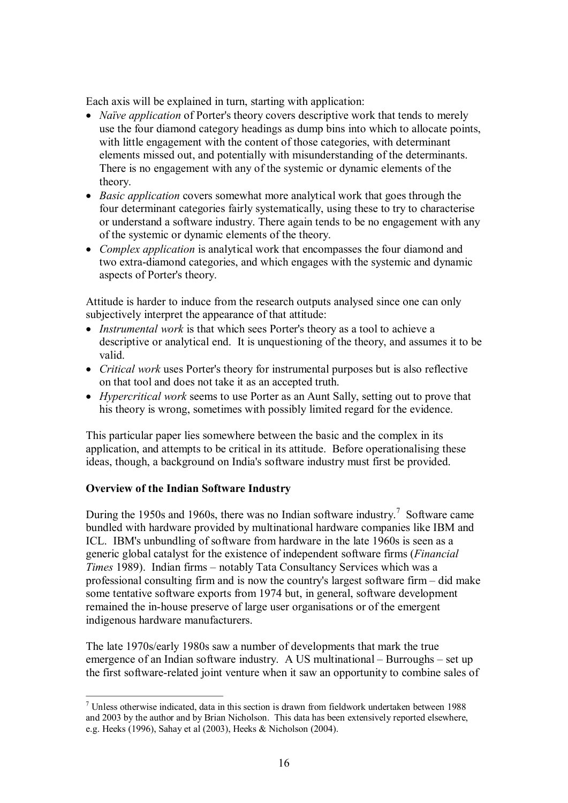Each axis will be explained in turn, starting with application:

- · *Naïve application* of Porter's theory covers descriptive work that tends to merely use the four diamond category headings as dump bins into which to allocate points, with little engagement with the content of those categories, with determinant elements missed out, and potentially with misunderstanding of the determinants. There is no engagement with any of the systemic or dynamic elements of the theory.
- · *Basic application* covers somewhat more analytical work that goes through the four determinant categories fairly systematically, using these to try to characterise or understand a software industry. There again tends to be no engagement with any of the systemic or dynamic elements of the theory.
- · *Complex application* is analytical work that encompasses the four diamond and two extra-diamond categories, and which engages with the systemic and dynamic aspects of Porter's theory.

Attitude is harder to induce from the research outputs analysed since one can only subjectively interpret the appearance of that attitude:

- · *Instrumental work* is that which sees Porter's theory as a tool to achieve a descriptive or analytical end. It is unquestioning of the theory, and assumes it to be valid.
- · *Critical work* uses Porter's theory for instrumental purposes but is also reflective on that tool and does not take it as an accepted truth.
- · *Hypercritical work* seems to use Porter as an Aunt Sally, setting out to prove that his theory is wrong, sometimes with possibly limited regard for the evidence.

This particular paper lies somewhere between the basic and the complex in its application, and attempts to be critical in its attitude. Before operationalising these ideas, though, a background on India's software industry must first be provided.

## <span id="page-17-0"></span>**Overview of the Indian Software Industry**

During the 1950s and 1960s, there was no Indian software industry.<sup>7</sup> Software came bundled with hardware provided by multinational hardware companies like IBM and ICL. IBM's unbundling of software from hardware in the late 1960s is seen as a generic global catalyst for the existence of independent software firms (*Financial Times* 1989). Indian firms – notably Tata Consultancy Services which was a professional consulting firm and is now the country's largest software firm – did make some tentative software exports from 1974 but, in general, software development remained the in-house preserve of large user organisations or of the emergent indigenous hardware manufacturers.

The late 1970s/early 1980s saw a number of developments that mark the true emergence of an Indian software industry. A US multinational – Burroughs – set up the first software-related joint venture when it saw an opportunity to combine sales of

 $\frac{7}{1}$  Unless otherwise indicated, data in this section is drawn from fieldwork undertaken between 1988 and 2003 by the author and by Brian Nicholson. This data has been extensively reported elsewhere, e.g. Heeks (1996), Sahay et al (2003), Heeks & Nicholson (2004).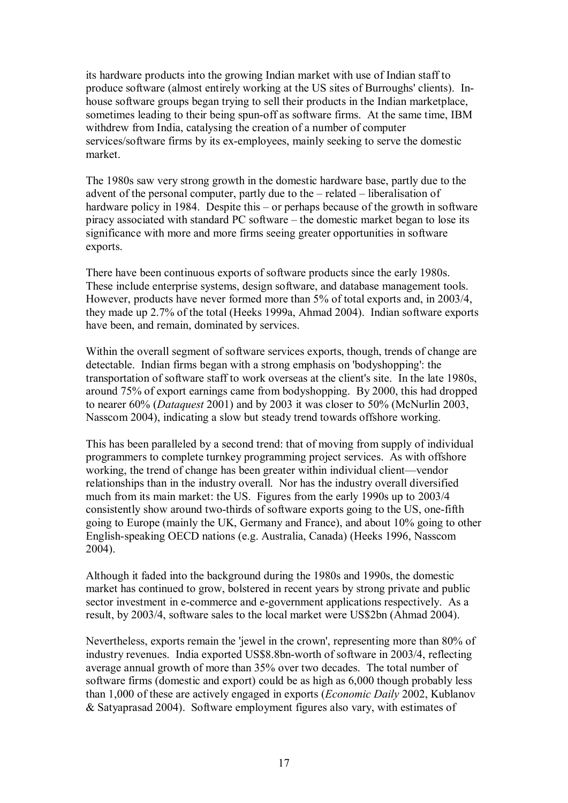its hardware products into the growing Indian market with use of Indian staff to produce software (almost entirely working at the US sites of Burroughs' clients). In house software groups began trying to sell their products in the Indian marketplace, sometimes leading to their being spun-off as software firms. At the same time, IBM withdrew from India, catalysing the creation of a number of computer services/software firms by its ex-employees, mainly seeking to serve the domestic market.

The 1980s saw very strong growth in the domestic hardware base, partly due to the advent of the personal computer, partly due to the – related – liberalisation of hardware policy in 1984. Despite this – or perhaps because of the growth in software piracy associated with standard PC software – the domestic market began to lose its significance with more and more firms seeing greater opportunities in software exports.

There have been continuous exports of software products since the early 1980s. These include enterprise systems, design software, and database management tools. However, products have never formed more than 5% of total exports and, in 2003/4, they made up 2.7% of the total (Heeks 1999a, Ahmad 2004). Indian software exports have been, and remain, dominated by services.

Within the overall segment of software services exports, though, trends of change are detectable. Indian firms began with a strong emphasis on 'bodyshopping': the transportation of software staff to work overseas at the client's site. In the late 1980s, around 75% of export earnings came from bodyshopping. By 2000, this had dropped to nearer 60% (*Dataquest* 2001) and by 2003 it was closer to 50% (McNurlin 2003, Nasscom 2004), indicating a slow but steady trend towards offshore working.

This has been paralleled by a second trend: that of moving from supply of individual programmers to complete turnkey programming project services. As with offshore working, the trend of change has been greater within individual client—vendor relationships than in the industry overall. Nor has the industry overall diversified much from its main market: the US. Figures from the early 1990s up to 2003/4 consistently show around two-thirds of software exports going to the US, one-fifth going to Europe (mainly the UK, Germany and France), and about 10% going to other English-speaking OECD nations (e.g. Australia, Canada) (Heeks 1996, Nasscom 2004).

Although it faded into the background during the 1980s and 1990s, the domestic market has continued to grow, bolstered in recent years by strong private and public sector investment in e-commerce and e-government applications respectively. As a result, by 2003/4, software sales to the local market were US\$2bn (Ahmad 2004).

Nevertheless, exports remain the 'jewel in the crown', representing more than 80% of industry revenues. India exported US\$8.8bn-worth of software in 2003/4, reflecting average annual growth of more than 35% over two decades. The total number of software firms (domestic and export) could be as high as 6,000 though probably less than 1,000 of these are actively engaged in exports (*Economic Daily* 2002, Kublanov & Satyaprasad 2004). Software employment figures also vary, with estimates of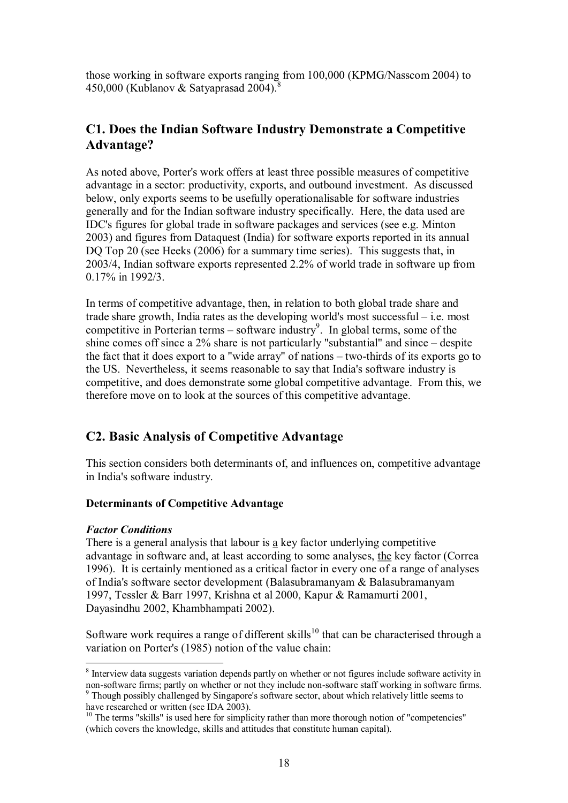those working in software exports ranging from 100,000 (KPMG/Nasscom 2004) to 450,000 (Kublanov & Satyaprasad 2004).

## <span id="page-19-0"></span>**C1. Does the Indian Software Industry Demonstrate a Competitive Advantage?**

As noted above, Porter's work offers at least three possible measures of competitive advantage in a sector: productivity, exports, and outbound investment. As discussed below, only exports seems to be usefully operationalisable for software industries generally and for the Indian software industry specifically. Here, the data used are IDC's figures for global trade in software packages and services (see e.g. Minton 2003) and figures from Dataquest (India) for software exports reported in its annual DO Top 20 (see Heeks (2006) for a summary time series). This suggests that, in 2003/4, Indian software exports represented 2.2% of world trade in software up from 0.17% in 1992/3.

In terms of competitive advantage, then, in relation to both global trade share and trade share growth, India rates as the developing world's most successful – i.e. most competitive in Porterian terms – software industry<sup>9</sup>. In global terms, some of the shine comes off since a 2% share is not particularly "substantial" and since – despite the fact that it does export to a "wide array" of nations  $-$  two-thirds of its exports go to the US. Nevertheless, it seems reasonable to say that India's software industry is competitive, and does demonstrate some global competitive advantage. From this, we therefore move on to look at the sources of this competitive advantage.

## <span id="page-19-1"></span>**C2. Basic Analysis of Competitive Advantage**

This section considers both determinants of, and influences on, competitive advantage in India's software industry.

## <span id="page-19-2"></span>**Determinants of Competitive Advantage**

## *Factor Conditions*

There is a general analysis that labour is a key factor underlying competitive advantage in software and, at least according to some analyses, the key factor (Correa 1996). It is certainly mentioned as a critical factor in every one of a range of analyses of India's software sector development (Balasubramanyam & Balasubramanyam 1997, Tessler & Barr 1997, Krishna et al 2000, Kapur & Ramamurti 2001, Dayasindhu 2002, Khambhampati 2002).

Software work requires a range of different skills<sup>10</sup> that can be characterised through a variation on Porter's (1985) notion of the value chain:

<sup>&</sup>lt;sup>8</sup> Interview data suggests variation depends partly on whether or not figures include software activity in non-software firms; partly on whether or not they include non-software staff working in software firms.

 $\degree$  Though possibly challenged by Singapore's software sector, about which relatively little seems to have researched or written (see IDA 2003).

<sup>&</sup>lt;sup>10</sup> The terms "skills" is used here for simplicity rather than more thorough notion of "competencies" (which covers the knowledge, skills and attitudes that constitute human capital).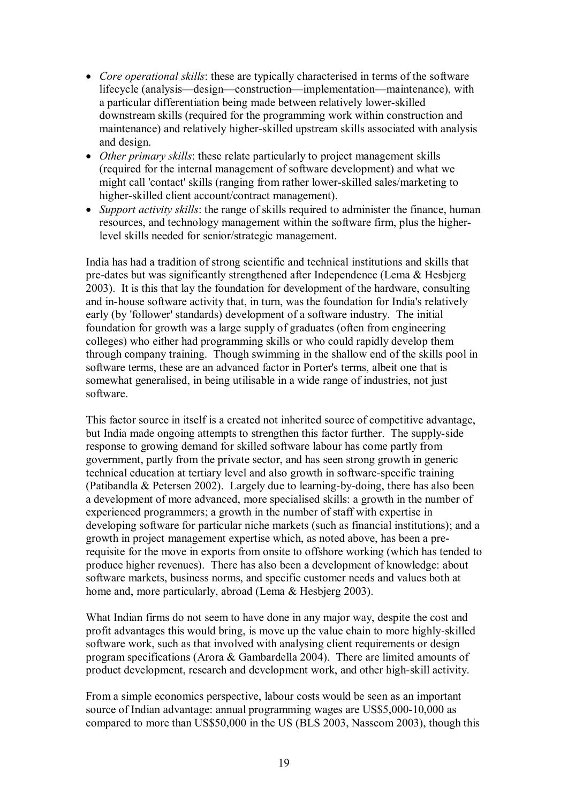- · *Core operational skills*: these are typically characterised in terms of the software lifecycle (analysis—design—construction—implementation—maintenance), with a particular differentiation being made between relatively lower-skilled downstream skills (required for the programming work within construction and maintenance) and relatively higher-skilled upstream skills associated with analysis and design.
- · *Other primary skills*: these relate particularly to project management skills (required for the internal management of software development) and what we might call 'contact' skills (ranging from rather lower-skilled sales/marketing to higher-skilled client account/contract management).
- · *Support activity skills*: the range of skills required to administer the finance, human resources, and technology management within the software firm, plus the higherlevel skills needed for senior/strategic management.

India has had a tradition of strong scientific and technical institutions and skills that predates but was significantly strengthened after Independence (Lema & Hesbjerg 2003). It is this that lay the foundation for development of the hardware, consulting and in-house software activity that, in turn, was the foundation for India's relatively early (by 'follower' standards) development of a software industry. The initial foundation for growth was a large supply of graduates (often from engineering colleges) who either had programming skills or who could rapidly develop them through company training. Though swimming in the shallow end of the skills pool in software terms, these are an advanced factor in Porter's terms, albeit one that is somewhat generalised, in being utilisable in a wide range of industries, not just software.

This factor source in itself is a created not inherited source of competitive advantage, but India made ongoing attempts to strengthen this factor further. The supply-side response to growing demand for skilled software labour has come partly from government, partly from the private sector, and has seen strong growth in generic technical education at tertiary level and also growth in software-specific training (Patibandla  $&$  Petersen 2002). Largely due to learning-by-doing, there has also been a development of more advanced, more specialised skills: a growth in the number of experienced programmers; a growth in the number of staff with expertise in developing software for particular niche markets (such as financial institutions); and a growth in project management expertise which, as noted above, has been a pre requisite for the move in exports from onsite to offshore working (which has tended to produce higher revenues). There has also been a development of knowledge: about software markets, business norms, and specific customer needs and values both at home and, more particularly, abroad (Lema & Hesbjerg 2003).

What Indian firms do not seem to have done in any major way, despite the cost and profit advantages this would bring, is move up the value chain to more highly-skilled software work, such as that involved with analysing client requirements or design program specifications (Arora & Gambardella 2004). There are limited amounts of product development, research and development work, and other high-skill activity.

From a simple economics perspective, labour costs would be seen as an important source of Indian advantage: annual programming wages are US\$5,000-10,000 as compared to more than US\$50,000 in the US (BLS 2003, Nasscom 2003), though this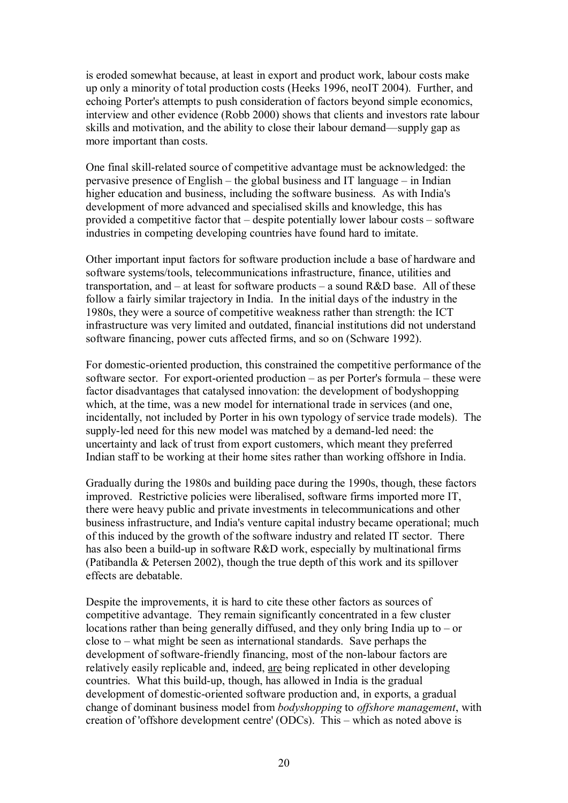is eroded somewhat because, at least in export and product work, labour costs make up only a minority of total production costs (Heeks 1996, neoIT 2004). Further, and echoing Porter's attempts to push consideration of factors beyond simple economics, interview and other evidence (Robb 2000) shows that clients and investors rate labour skills and motivation, and the ability to close their labour demand—supply gap as more important than costs.

One final skill-related source of competitive advantage must be acknowledged: the pervasive presence of English – the global business and IT language – in Indian higher education and business, including the software business. As with India's development of more advanced and specialised skills and knowledge, this has provided a competitive factor that – despite potentially lower labour costs – software industries in competing developing countries have found hard to imitate.

Other important input factors for software production include a base of hardware and software systems/tools, telecommunications infrastructure, finance, utilities and transportation, and  $-$  at least for software products  $-$  a sound R&D base. All of these follow a fairly similar trajectory in India. In the initial days of the industry in the 1980s, they were a source of competitive weakness rather than strength: the ICT infrastructure was very limited and outdated, financial institutions did not understand software financing, power cuts affected firms, and so on (Schware 1992).

For domestic-oriented production, this constrained the competitive performance of the software sector. For export-oriented production – as per Porter's formula – these were factor disadvantages that catalysed innovation: the development of bodyshopping which, at the time, was a new model for international trade in services (and one, incidentally, not included by Porter in his own typology of service trade models). The supply-led need for this new model was matched by a demand-led need: the uncertainty and lack of trust from export customers, which meant they preferred Indian staff to be working at their home sites rather than working offshore in India.

Gradually during the 1980s and building pace during the 1990s, though, these factors improved. Restrictive policies were liberalised, software firms imported more IT, there were heavy public and private investments in telecommunications and other business infrastructure, and India's venture capital industry became operational; much of this induced by the growth of the software industry and related IT sector. There has also been a build-up in software  $R&D$  work, especially by multinational firms (Patibandla & Petersen 2002), though the true depth of this work and its spillover effects are debatable.

Despite the improvements, it is hard to cite these other factors as sources of competitive advantage. They remain significantly concentrated in a few cluster locations rather than being generally diffused, and they only bring India up to – or close to – what might be seen as international standards. Save perhaps the development of software-friendly financing, most of the non-labour factors are relatively easily replicable and, indeed, are being replicated in other developing countries. What this build-up, though, has allowed in India is the gradual development of domestic-oriented software production and, in exports, a gradual change of dominant business model from *bodyshopping* to *offshore management*, with creation of 'offshore development centre' (ODCs). This – which as noted above is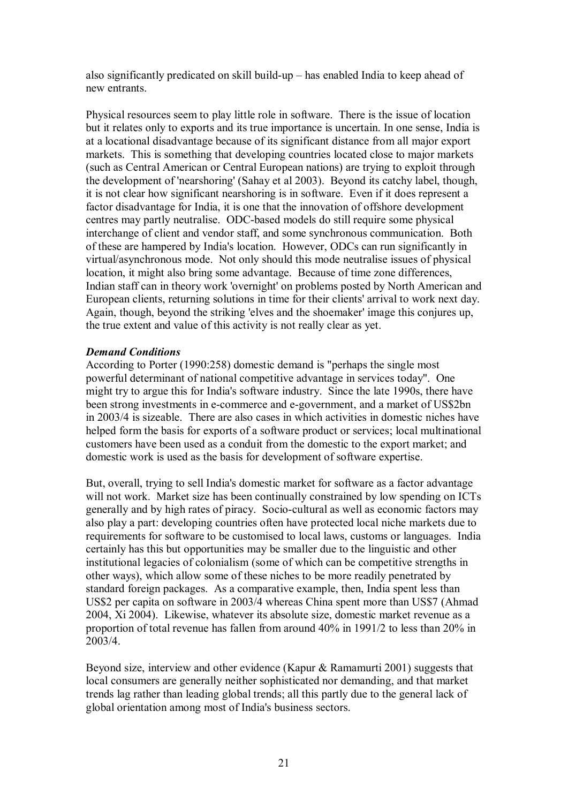also significantly predicated on skill build-up  $-$  has enabled India to keep ahead of new entrants.

Physical resources seem to play little role in software. There is the issue of location but it relates only to exports and its true importance is uncertain. In one sense, India is at a locational disadvantage because of its significant distance from all major export markets. This is something that developing countries located close to major markets (such as Central American or Central European nations) are trying to exploit through the development of 'nearshoring' (Sahay et al 2003). Beyond its catchy label, though, it is not clear how significant nearshoring is in software. Even if it does represent a factor disadvantage for India, it is one that the innovation of offshore development centres may partly neutralise. ODC-based models do still require some physical interchange of client and vendor staff, and some synchronous communication. Both of these are hampered by India's location. However, ODCs can run significantly in virtual/asynchronous mode. Not only should this mode neutralise issues of physical location, it might also bring some advantage. Because of time zone differences, Indian staff can in theory work 'overnight' on problems posted by North American and European clients, returning solutions in time for their clients' arrival to work next day. Again, though, beyond the striking 'elves and the shoemaker' image this conjures up, the true extent and value of this activity is not really clear as yet.

## *Demand Conditions*

According to Porter (1990:258) domestic demand is "perhaps the single most powerful determinant of national competitive advantage in services today". One might try to argue this for India's software industry. Since the late 1990s, there have been strong investments in e-commerce and e-government, and a market of US\$2bn in 2003/4 is sizeable. There are also cases in which activities in domestic niches have helped form the basis for exports of a software product or services; local multinational customers have been used as a conduit from the domestic to the export market; and domestic work is used as the basis for development of software expertise.

But, overall, trying to sell India's domestic market for software as a factor advantage will not work. Market size has been continually constrained by low spending on ICTs generally and by high rates of piracy. Socio-cultural as well as economic factors may also play a part: developing countries often have protected local niche markets due to requirements for software to be customised to local laws, customs or languages. India certainly has this but opportunities may be smaller due to the linguistic and other institutional legacies of colonialism (some of which can be competitive strengths in other ways), which allow some of these niches to be more readily penetrated by standard foreign packages. As a comparative example, then, India spent less than US\$2 per capita on software in 2003/4 whereas China spent more than US\$7 (Ahmad 2004, Xi 2004). Likewise, whatever its absolute size, domestic market revenue as a proportion of total revenue has fallen from around 40% in 1991/2 to less than 20% in 2003/4.

Beyond size, interview and other evidence (Kapur & Ramamurti 2001) suggests that local consumers are generally neither sophisticated nor demanding, and that market trends lag rather than leading global trends; all this partly due to the general lack of global orientation among most of India's business sectors.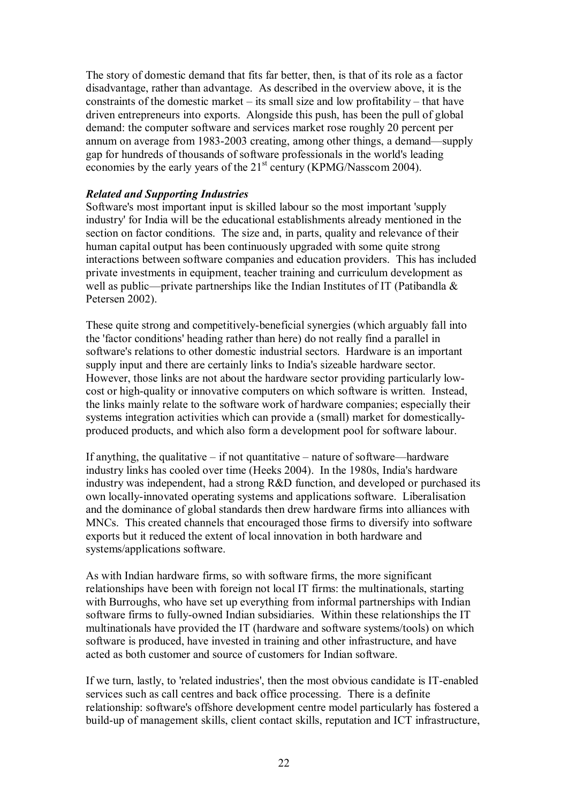The story of domestic demand that fits far better, then, is that of its role as a factor disadvantage, rather than advantage. As described in the overview above, it is the constraints of the domestic market – its small size and low profitability – that have driven entrepreneurs into exports. Alongside this push, has been the pull of global demand: the computer software and services market rose roughly 20 percent per annum on average from 1983-2003 creating, among other things, a demand—supply gap for hundreds of thousands of software professionals in the world's leading economies by the early years of the  $21<sup>st</sup>$  century (KPMG/Nasscom 2004).

## *Related and Supporting Industries*

Software's most important input is skilled labour so the most important 'supply industry' for India will be the educational establishments already mentioned in the section on factor conditions. The size and, in parts, quality and relevance of their human capital output has been continuously upgraded with some quite strong interactions between software companies and education providers. This has included private investments in equipment, teacher training and curriculum development as well as public—private partnerships like the Indian Institutes of IT (Patibandla & Petersen 2002).

These quite strong and competitively-beneficial synergies (which arguably fall into the 'factor conditions' heading rather than here) do not really find a parallel in software's relations to other domestic industrial sectors. Hardware is an important supply input and there are certainly links to India's sizeable hardware sector. However, those links are not about the hardware sector providing particularly low cost or high-quality or innovative computers on which software is written. Instead, the links mainly relate to the software work of hardware companies; especially their systems integration activities which can provide a (small) market for domestically produced products, and which also form a development pool for software labour.

If anything, the qualitative – if not quantitative – nature of software—hardware industry links has cooled over time (Heeks 2004). In the 1980s, India's hardware industry was independent, had a strong R&D function, and developed or purchased its own locally-innovated operating systems and applications software. Liberalisation and the dominance of global standards then drew hardware firms into alliances with MNCs. This created channels that encouraged those firms to diversify into software exports but it reduced the extent of local innovation in both hardware and systems/applications software.

As with Indian hardware firms, so with software firms, the more significant relationships have been with foreign not local IT firms: the multinationals, starting with Burroughs, who have set up everything from informal partnerships with Indian software firms to fully-owned Indian subsidiaries. Within these relationships the IT multinationals have provided the IT (hardware and software systems/tools) on which software is produced, have invested in training and other infrastructure, and have acted as both customer and source of customers for Indian software.

If we turn, lastly, to 'related industries', then the most obvious candidate is IT-enabled services such as call centres and back office processing. There is a definite relationship: software's offshore development centre model particularly has fostered a build-up of management skills, client contact skills, reputation and ICT infrastructure,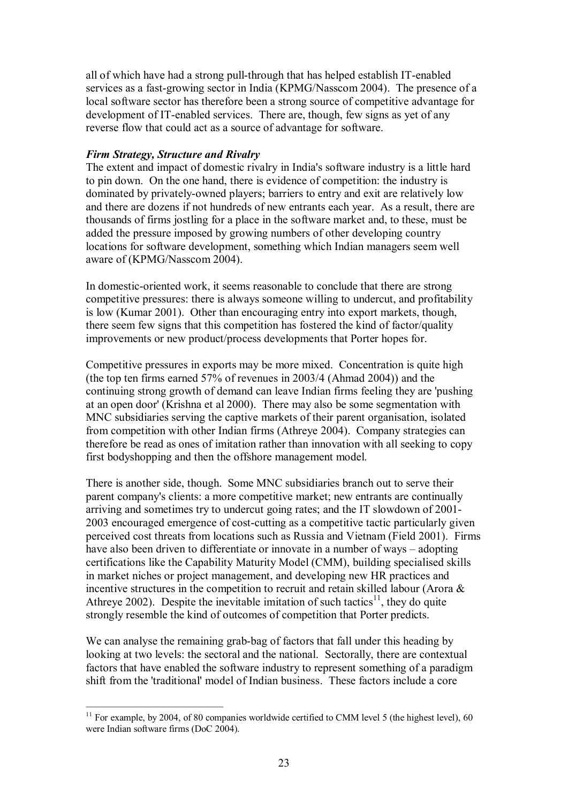all of which have had a strong pull-through that has helped establish IT-enabled services as a fast-growing sector in India (KPMG/Nasscom 2004). The presence of a local software sector has therefore been a strong source of competitive advantage for development of IT-enabled services. There are, though, few signs as yet of any reverse flow that could act as a source of advantage for software.

## *Firm Strategy, Structure and Rivalry*

The extent and impact of domestic rivalry in India's software industry is a little hard to pin down. On the one hand, there is evidence of competition: the industry is dominated by privately-owned players; barriers to entry and exit are relatively low and there are dozens if not hundreds of new entrants each year. As a result, there are thousands of firms jostling for a place in the software market and, to these, must be added the pressure imposed by growing numbers of other developing country locations for software development, something which Indian managers seem well aware of (KPMG/Nasscom 2004).

In domestic-oriented work, it seems reasonable to conclude that there are strong competitive pressures: there is always someone willing to undercut, and profitability is low (Kumar 2001). Other than encouraging entry into export markets, though, there seem few signs that this competition has fostered the kind of factor/quality improvements or new product/process developments that Porter hopes for.

Competitive pressures in exports may be more mixed. Concentration is quite high (the top ten firms earned 57% of revenues in 2003/4 (Ahmad 2004)) and the continuing strong growth of demand can leave Indian firms feeling they are 'pushing at an open door' (Krishna et al 2000). There may also be some segmentation with MNC subsidiaries serving the captive markets of their parent organisation, isolated from competition with other Indian firms (Athreye 2004). Company strategies can therefore be read as ones of imitation rather than innovation with all seeking to copy first bodyshopping and then the offshore management model.

There is another side, though. Some MNC subsidiaries branch out to serve their parent company's clients: a more competitive market; new entrants are continually arriving and sometimes try to undercut going rates; and the IT slowdown of 2001 2003 encouraged emergence of cost-cutting as a competitive tactic particularly given perceived cost threats from locations such as Russia and Vietnam (Field 2001). Firms have also been driven to differentiate or innovate in a number of ways – adopting certifications like the Capability Maturity Model (CMM), building specialised skills in market niches or project management, and developing new HR practices and incentive structures in the competition to recruit and retain skilled labour (Arora & Athreye 2002). Despite the inevitable imitation of such tactics<sup>11</sup>, they do quite strongly resemble the kind of outcomes of competition that Porter predicts.

We can analyse the remaining grab-bag of factors that fall under this heading by looking at two levels: the sectoral and the national. Sectorally, there are contextual factors that have enabled the software industry to represent something of a paradigm shift from the 'traditional' model of Indian business. These factors include a core

 $11$  For example, by 2004, of 80 companies worldwide certified to CMM level 5 (the highest level), 60 were Indian software firms (DoC 2004).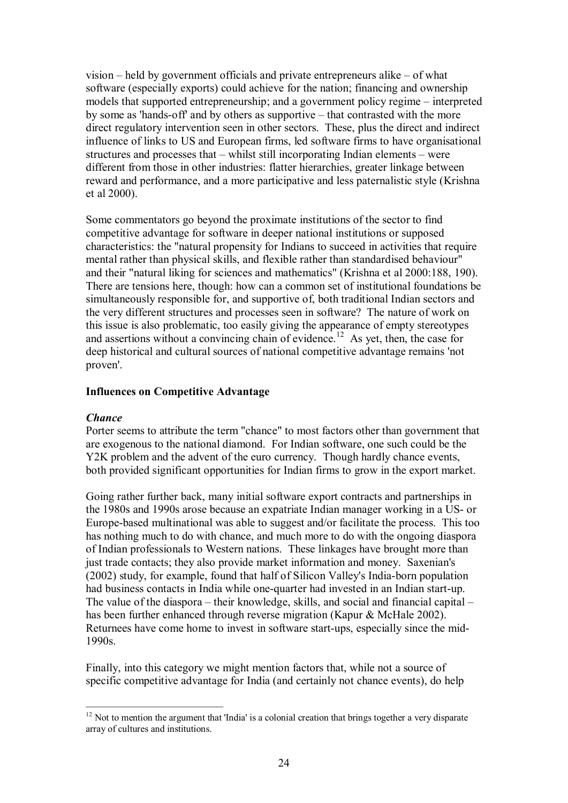vision – held by government officials and private entrepreneurs alike – of what software (especially exports) could achieve for the nation; financing and ownership models that supported entrepreneurship; and a government policy regime – interpreted by some as 'hands-off' and by others as supportive – that contrasted with the more direct regulatory intervention seen in other sectors. These, plus the direct and indirect influence of links to US and European firms, led software firms to have organisational structures and processes that – whilst still incorporating Indian elements – were different from those in other industries: flatter hierarchies, greater linkage between reward and performance, and a more participative and less paternalistic style (Krishna et al 2000).

Some commentators go beyond the proximate institutions of the sector to find competitive advantage for software in deeper national institutions or supposed characteristics: the "natural propensity for Indians to succeed in activities that require mental rather than physical skills, and flexible rather than standardised behaviour" and their "natural liking for sciences and mathematics" (Krishna et al 2000:188, 190). There are tensions here, though: how can a common set of institutional foundations be simultaneously responsible for, and supportive of, both traditional Indian sectors and the very different structures and processes seen in software? The nature of work on this issue is also problematic, too easily giving the appearance of empty stereotypes and assertions without a convincing chain of evidence.<sup>12</sup> As yet, then, the case for deep historical and cultural sources of national competitive advantage remains 'not proven'.

## <span id="page-25-0"></span>**Influences on Competitive Advantage**

## *Chance*

Porter seems to attribute the term "chance" to most factors other than government that are exogenous to the national diamond. For Indian software, one such could be the Y2K problem and the advent of the euro currency. Though hardly chance events, both provided significant opportunities for Indian firms to grow in the export market.

Going rather further back, many initial software export contracts and partnerships in the 1980s and 1990s arose because an expatriate Indian manager working in a US- or Europe-based multinational was able to suggest and/or facilitate the process. This too has nothing much to do with chance, and much more to do with the ongoing diaspora of Indian professionals to Western nations. These linkages have brought more than just trade contacts; they also provide market information and money. Saxenian's (2002) study, for example, found that half of Silicon Valley's Indiaborn population had business contacts in India while one-quarter had invested in an Indian start-up. The value of the diaspora – their knowledge, skills, and social and financial capital – has been further enhanced through reverse migration (Kapur & McHale 2002). Returnees have come home to invest in software start-ups, especially since the mid-1990s.

Finally, into this category we might mention factors that, while not a source of specific competitive advantage for India (and certainly not chance events), do help

<sup>&</sup>lt;sup>12</sup> Not to mention the argument that 'India' is a colonial creation that brings together a very disparate array of cultures and institutions.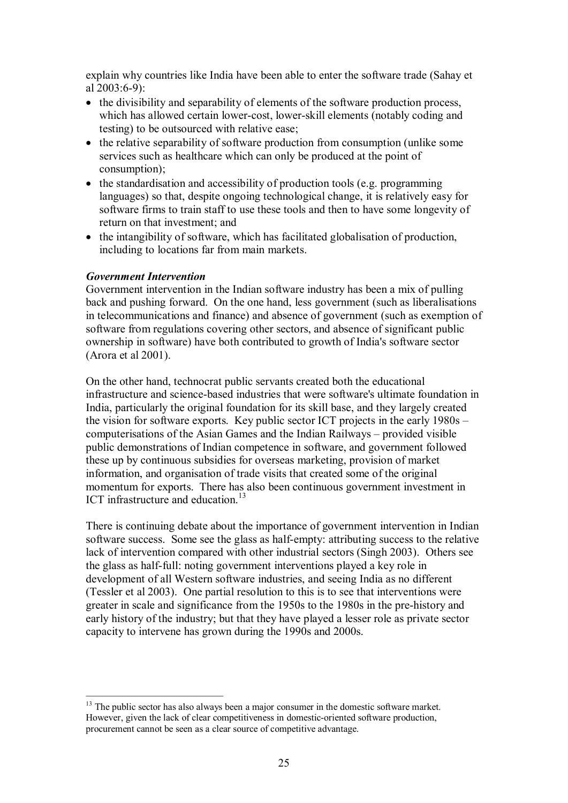explain why countries like India have been able to enter the software trade (Sahay et al  $2003:6-9$ :

- · the divisibility and separability of elements of the software production process, which has allowed certain lower-cost, lower-skill elements (notably coding and testing) to be outsourced with relative ease;
- the relative separability of software production from consumption (unlike some services such as healthcare which can only be produced at the point of consumption);
- the standardisation and accessibility of production tools (e.g. programming languages) so that, despite ongoing technological change, it is relatively easy for software firms to train staff to use these tools and then to have some longevity of return on that investment; and
- · the intangibility of software, which has facilitated globalisation of production, including to locations far from main markets.

#### *Government Intervention*

Government intervention in the Indian software industry has been a mix of pulling back and pushing forward. On the one hand, less government (such as liberalisations in telecommunications and finance) and absence of government (such as exemption of software from regulations covering other sectors, and absence of significant public ownership in software) have both contributed to growth of India's software sector (Arora et al 2001).

On the other hand, technocrat public servants created both the educational infrastructure and science-based industries that were software's ultimate foundation in India, particularly the original foundation for its skill base, and they largely created the vision for software exports. Key public sector ICT projects in the early 1980s – computerisations of the Asian Games and the Indian Railways – provided visible public demonstrations of Indian competence in software, and government followed these up by continuous subsidies for overseas marketing, provision of market information, and organisation of trade visits that created some of the original momentum for exports. There has also been continuous government investment in ICT infrastructure and education.<sup>13</sup>

There is continuing debate about the importance of government intervention in Indian software success. Some see the glass as half-empty: attributing success to the relative lack of intervention compared with other industrial sectors (Singh 2003). Others see the glass as half-full: noting government interventions played a key role in development of all Western software industries, and seeing India as no different (Tessler et al 2003). One partial resolution to this is to see that interventions were greater in scale and significance from the 1950s to the 1980s in the pre-history and early history of the industry; but that they have played a lesser role as private sector capacity to intervene has grown during the 1990s and 2000s.

<sup>&</sup>lt;sup>13</sup> The public sector has also always been a major consumer in the domestic software market. However, given the lack of clear competitiveness in domestic-oriented software production, procurement cannot be seen as a clear source of competitive advantage.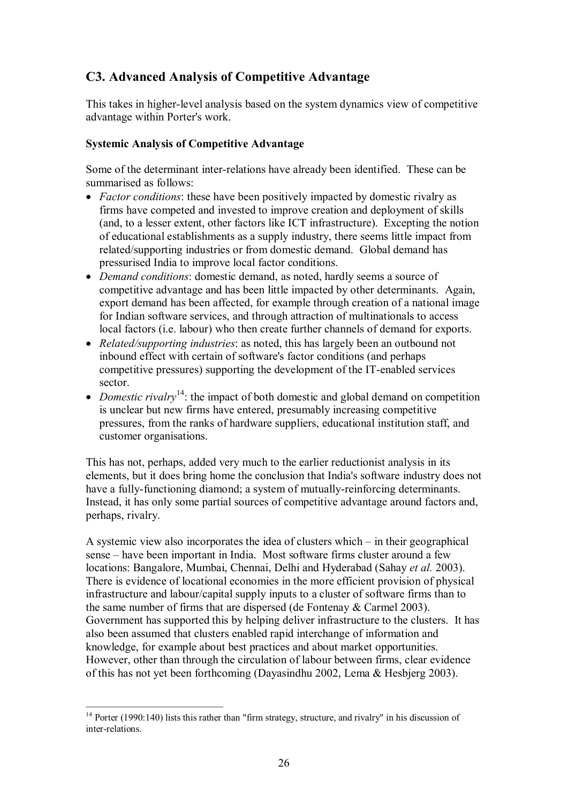## <span id="page-27-0"></span>**C3. Advanced Analysis of Competitive Advantage**

This takes in higher-level analysis based on the system dynamics view of competitive advantage within Porter's work.

## <span id="page-27-1"></span>**Systemic Analysis of Competitive Advantage**

Some of the determinant inter-relations have already been identified. These can be summarised as follows:

- · *Factor conditions*: these have been positively impacted by domestic rivalry as firms have competed and invested to improve creation and deployment of skills (and, to a lesser extent, other factors like ICT infrastructure). Excepting the notion of educational establishments as a supply industry, there seems little impact from related/supporting industries or from domestic demand. Global demand has pressurised India to improve local factor conditions.
- · *Demand conditions*: domestic demand, as noted, hardly seems a source of competitive advantage and has been little impacted by other determinants. Again, export demand has been affected, for example through creation of a national image for Indian software services, and through attraction of multinationals to access local factors (i.e. labour) who then create further channels of demand for exports.
- · *Related/supporting industries*: as noted, this has largely been an outbound not inbound effect with certain of software's factor conditions (and perhaps competitive pressures) supporting the development of the IT-enabled services sector.
- *Domestic rivalry*<sup>14</sup>: the impact of both domestic and global demand on competition is unclear but new firms have entered, presumably increasing competitive pressures, from the ranks of hardware suppliers, educational institution staff, and customer organisations.

This has not, perhaps, added very much to the earlier reductionist analysis in its elements, but it does bring home the conclusion that India's software industry does not have a fully-functioning diamond; a system of mutually-reinforcing determinants. Instead, it has only some partial sources of competitive advantage around factors and, perhaps, rivalry.

A systemic view also incorporates the idea of clusters which – in their geographical sense – have been important in India. Most software firms cluster around a few locations: Bangalore, Mumbai, Chennai, Delhi and Hyderabad (Sahay *et al.* 2003). There is evidence of locational economies in the more efficient provision of physical infrastructure and labour/capital supply inputs to a cluster of software firms than to the same number of firms that are dispersed (de Fontenay & Carmel 2003). Government has supported this by helping deliver infrastructure to the clusters. It has also been assumed that clusters enabled rapid interchange of information and knowledge, for example about best practices and about market opportunities. However, other than through the circulation of labour between firms, clear evidence of this has not yet been forthcoming (Dayasindhu 2002, Lema & Hesbjerg 2003).

 $14$  Porter (1990:140) lists this rather than "firm strategy, structure, and rivalry" in his discussion of inter-relations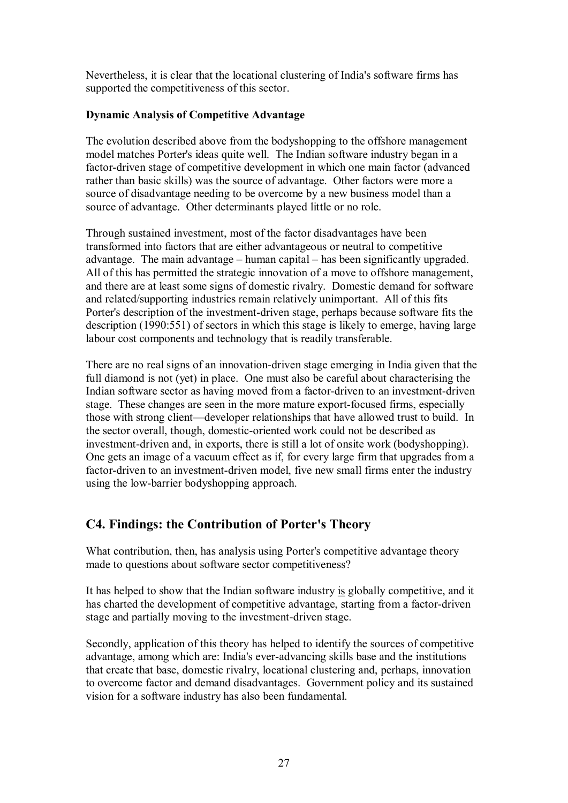Nevertheless, it is clear that the locational clustering of India's software firms has supported the competitiveness of this sector.

## <span id="page-28-0"></span>**Dynamic Analysis of Competitive Advantage**

The evolution described above from the bodyshopping to the offshore management model matches Porter's ideas quite well. The Indian software industry began in a factor-driven stage of competitive development in which one main factor (advanced rather than basic skills) was the source of advantage. Other factors were more a source of disadvantage needing to be overcome by a new business model than a source of advantage. Other determinants played little or no role.

Through sustained investment, most of the factor disadvantages have been transformed into factors that are either advantageous or neutral to competitive advantage. The main advantage – human capital – has been significantly upgraded. All of this has permitted the strategic innovation of a move to offshore management, and there are at least some signs of domestic rivalry. Domestic demand for software and related/supporting industries remain relatively unimportant. All of this fits Porter's description of the investment-driven stage, perhaps because software fits the description (1990:551) of sectors in which this stage is likely to emerge, having large labour cost components and technology that is readily transferable.

There are no real signs of an innovation-driven stage emerging in India given that the full diamond is not (yet) in place. One must also be careful about characterising the Indian software sector as having moved from a factor-driven to an investment-driven stage. These changes are seen in the more mature export-focused firms, especially those with strong client—developer relationships that have allowed trust to build. In the sector overall, though, domestic-oriented work could not be described as investment-driven and, in exports, there is still a lot of onsite work (bodyshopping). One gets an image of a vacuum effect as if, for every large firm that upgrades from a factor-driven to an investment-driven model, five new small firms enter the industry using the low-barrier bodyshopping approach.

## <span id="page-28-1"></span>**C4. Findings: the Contribution of Porter's Theory**

What contribution, then, has analysis using Porter's competitive advantage theory made to questions about software sector competitiveness?

It has helped to show that the Indian software industry is globally competitive, and it has charted the development of competitive advantage, starting from a factor-driven stage and partially moving to the investment-driven stage.

Secondly, application of this theory has helped to identify the sources of competitive advantage, among which are: India's ever-advancing skills base and the institutions that create that base, domestic rivalry, locational clustering and, perhaps, innovation to overcome factor and demand disadvantages. Government policy and its sustained vision for a software industry has also been fundamental.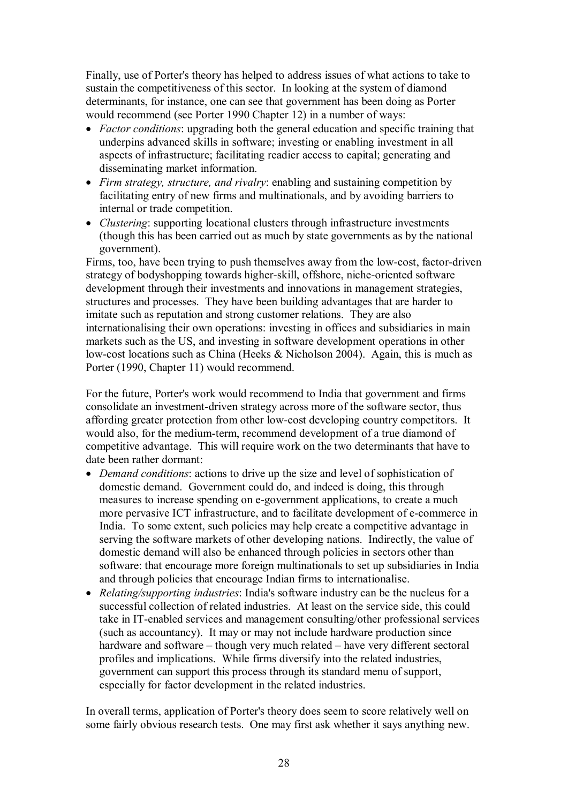Finally, use of Porter's theory has helped to address issues of what actions to take to sustain the competitiveness of this sector. In looking at the system of diamond determinants, for instance, one can see that government has been doing as Porter would recommend (see Porter 1990 Chapter 12) in a number of ways:

- · *Factor conditions*: upgrading both the general education and specific training that underpins advanced skills in software; investing or enabling investment in all aspects of infrastructure; facilitating readier access to capital; generating and disseminating market information.
- · *Firm strategy, structure, and rivalry*: enabling and sustaining competition by facilitating entry of new firms and multinationals, and by avoiding barriers to internal or trade competition.
- · *Clustering*: supporting locational clusters through infrastructure investments (though this has been carried out as much by state governments as by the national government).

Firms, too, have been trying to push themselves away from the low-cost, factor-driven strategy of bodyshopping towards higher-skill, offshore, niche-oriented software development through their investments and innovations in management strategies, structures and processes. They have been building advantages that are harder to imitate such as reputation and strong customer relations. They are also internationalising their own operations: investing in offices and subsidiaries in main markets such as the US, and investing in software development operations in other low-cost locations such as China (Heeks & Nicholson 2004). Again, this is much as Porter (1990, Chapter 11) would recommend.

For the future, Porter's work would recommend to India that government and firms consolidate an investment-driven strategy across more of the software sector, thus affording greater protection from other lowcost developing country competitors. It would also, for the medium-term, recommend development of a true diamond of competitive advantage. This will require work on the two determinants that have to date been rather dormant:

- · *Demand conditions*: actions to drive up the size and level of sophistication of domestic demand. Government could do, and indeed is doing, this through measures to increase spending on e-government applications, to create a much more pervasive ICT infrastructure, and to facilitate development of e-commerce in India. To some extent, such policies may help create a competitive advantage in serving the software markets of other developing nations. Indirectly, the value of domestic demand will also be enhanced through policies in sectors other than software: that encourage more foreign multinationals to set up subsidiaries in India and through policies that encourage Indian firms to internationalise.
- · *Relating/supporting industries*: India's software industry can be the nucleus for a successful collection of related industries. At least on the service side, this could take in IT-enabled services and management consulting/other professional services (such as accountancy). It may or may not include hardware production since hardware and software – though very much related – have very different sectoral profiles and implications. While firms diversify into the related industries, government can support this process through its standard menu of support, especially for factor development in the related industries.

In overall terms, application of Porter's theory does seem to score relatively well on some fairly obvious research tests. One may first ask whether it says anything new.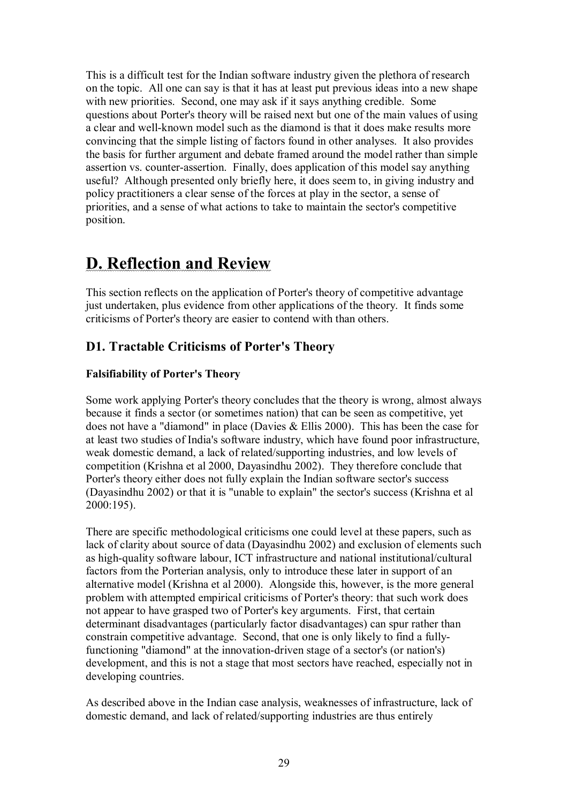This is a difficult test for the Indian software industry given the plethora of research on the topic. All one can say is that it has at least put previous ideas into a new shape with new priorities. Second, one may ask if it says anything credible. Some questions about Porter's theory will be raised next but one of the main values of using a clear and well-known model such as the diamond is that it does make results more convincing that the simple listing of factors found in other analyses. It also provides the basis for further argument and debate framed around the model rather than simple assertion vs. counter-assertion. Finally, does application of this model say anything useful? Although presented only briefly here, it does seem to, in giving industry and policy practitioners a clear sense of the forces at play in the sector, a sense of priorities, and a sense of what actions to take to maintain the sector's competitive position.

## <span id="page-30-0"></span>**D. Reflection and Review**

This section reflects on the application of Porter's theory of competitive advantage just undertaken, plus evidence from other applications of the theory. It finds some criticisms of Porter's theory are easier to contend with than others.

## <span id="page-30-1"></span>**D1. Tractable Criticisms of Porter's Theory**

## <span id="page-30-2"></span>**Falsifiability of Porter's Theory**

Some work applying Porter's theory concludes that the theory is wrong, almost always because it finds a sector (or sometimes nation) that can be seen as competitive, yet does not have a "diamond" in place (Davies & Ellis 2000). This has been the case for at least two studies of India's software industry, which have found poor infrastructure, weak domestic demand, a lack of related/supporting industries, and low levels of competition (Krishna et al 2000, Dayasindhu 2002). They therefore conclude that Porter's theory either does not fully explain the Indian software sector's success (Dayasindhu 2002) or that it is "unable to explain" the sector's success (Krishna et al 2000:195).

There are specific methodological criticisms one could level at these papers, such as lack of clarity about source of data (Dayasindhu 2002) and exclusion of elements such as high-quality software labour, ICT infrastructure and national institutional/cultural factors from the Porterian analysis, only to introduce these later in support of an alternative model (Krishna et al 2000). Alongside this, however, is the more general problem with attempted empirical criticisms of Porter's theory: that such work does not appear to have grasped two of Porter's key arguments. First, that certain determinant disadvantages (particularly factor disadvantages) can spur rather than constrain competitive advantage. Second, that one is only likely to find a fullyfunctioning "diamond" at the innovation-driven stage of a sector's (or nation's) development, and this is not a stage that most sectors have reached, especially not in developing countries.

As described above in the Indian case analysis, weaknesses of infrastructure, lack of domestic demand, and lack of related/supporting industries are thus entirely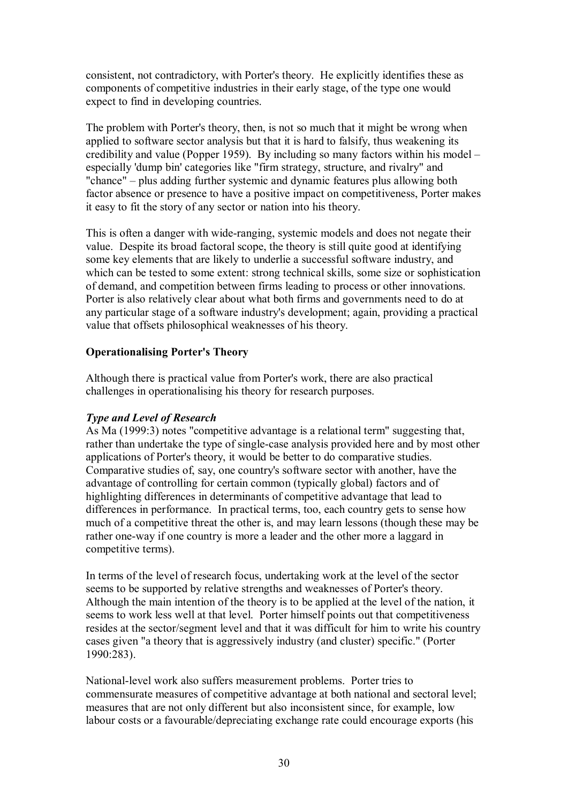consistent, not contradictory, with Porter's theory. He explicitly identifies these as components of competitive industries in their early stage, of the type one would expect to find in developing countries.

The problem with Porter's theory, then, is not so much that it might be wrong when applied to software sector analysis but that it is hard to falsify, thus weakening its credibility and value (Popper 1959). By including so many factors within his model – especially 'dump bin' categories like "firm strategy, structure, and rivalry" and "chance" – plus adding further systemic and dynamic features plus allowing both factor absence or presence to have a positive impact on competitiveness, Porter makes it easy to fit the story of any sector or nation into his theory.

This is often a danger with wide-ranging, systemic models and does not negate their value. Despite its broad factoral scope, the theory is still quite good at identifying some key elements that are likely to underlie a successful software industry, and which can be tested to some extent: strong technical skills, some size or sophistication of demand, and competition between firms leading to process or other innovations. Porter is also relatively clear about what both firms and governments need to do at any particular stage of a software industry's development; again, providing a practical value that offsets philosophical weaknesses of his theory.

## <span id="page-31-0"></span>**Operationalising Porter's Theory**

Although there is practical value from Porter's work, there are also practical challenges in operationalising his theory for research purposes.

## *Type and Level of Research*

As Ma (1999:3) notes "competitive advantage is a relational term" suggesting that, rather than undertake the type of single-case analysis provided here and by most other applications of Porter's theory, it would be better to do comparative studies. Comparative studies of, say, one country's software sector with another, have the advantage of controlling for certain common (typically global) factors and of highlighting differences in determinants of competitive advantage that lead to differences in performance. In practical terms, too, each country gets to sense how much of a competitive threat the other is, and may learn lessons (though these may be rather one-way if one country is more a leader and the other more a laggard in competitive terms).

In terms of the level of research focus, undertaking work at the level of the sector seems to be supported by relative strengths and weaknesses of Porter's theory. Although the main intention of the theory is to be applied at the level of the nation, it seems to work less well at that level. Porter himself points out that competitiveness resides at the sector/segment level and that it was difficult for him to write his country cases given "a theory that is aggressively industry (and cluster) specific." (Porter 1990:283).

National-level work also suffers measurement problems. Porter tries to commensurate measures of competitive advantage at both national and sectoral level; measures that are not only different but also inconsistent since, for example, low labour costs or a favourable/depreciating exchange rate could encourage exports (his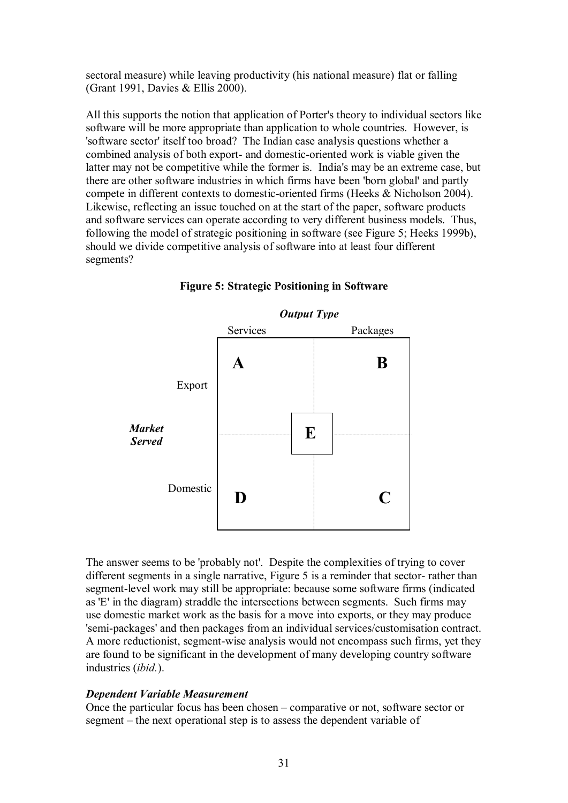sectoral measure) while leaving productivity (his national measure) flat or falling (Grant 1991, Davies & Ellis 2000).

All this supports the notion that application of Porter's theory to individual sectors like software will be more appropriate than application to whole countries. However, is 'software sector' itself too broad? The Indian case analysis questions whether a combined analysis of both export- and domestic-oriented work is viable given the latter may not be competitive while the former is. India's may be an extreme case, but there are other software industries in which firms have been 'born global' and partly compete in different contexts to domestic-oriented firms (Heeks & Nicholson 2004). Likewise, reflecting an issue touched on at the start of the paper, software products and software services can operate according to very different business models. Thus, following the model of strategic positioning in software (see Figure 5; Heeks 1999b), should we divide competitive analysis of software into at least four different segments?



**Figure 5: Strategic Positioning in Software**

The answer seems to be 'probably not'. Despite the complexities of trying to cover different segments in a single narrative. Figure 5 is a reminder that sector-rather than segment-level work may still be appropriate: because some software firms (indicated as 'E' in the diagram) straddle the intersections between segments. Such firms may use domestic market work as the basis for a move into exports, or they may produce 'semipackages' and then packages from an individual services/customisation contract. A more reductionist, segment-wise analysis would not encompass such firms, yet they are found to be significant in the development of many developing country software industries (*ibid.*).

## *Dependent Variable Measurement*

Once the particular focus has been chosen – comparative or not, software sector or segment – the next operational step is to assess the dependent variable of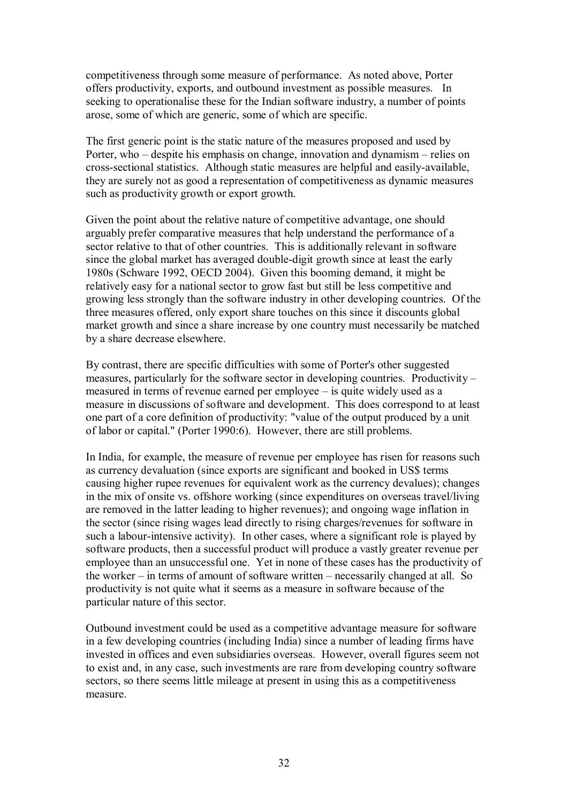competitiveness through some measure of performance. As noted above, Porter offers productivity, exports, and outbound investment as possible measures. In seeking to operationalise these for the Indian software industry, a number of points arose, some of which are generic, some of which are specific.

The first generic point is the static nature of the measures proposed and used by Porter, who – despite his emphasis on change, innovation and dynamism – relies on cross-sectional statistics. Although static measures are helpful and easily-available, they are surely not as good a representation of competitiveness as dynamic measures such as productivity growth or export growth.

Given the point about the relative nature of competitive advantage, one should arguably prefer comparative measures that help understand the performance of a sector relative to that of other countries. This is additionally relevant in software since the global market has averaged double-digit growth since at least the early 1980s (Schware 1992, OECD 2004). Given this booming demand, it might be relatively easy for a national sector to grow fast but still be less competitive and growing less strongly than the software industry in other developing countries. Of the three measures offered, only export share touches on this since it discounts global market growth and since a share increase by one country must necessarily be matched by a share decrease elsewhere.

By contrast, there are specific difficulties with some of Porter's other suggested measures, particularly for the software sector in developing countries. Productivity – measured in terms of revenue earned per employee – is quite widely used as a measure in discussions of software and development. This does correspond to at least one part of a core definition of productivity: "value of the output produced by a unit of labor or capital." (Porter 1990:6). However, there are still problems.

In India, for example, the measure of revenue per employee has risen for reasons such as currency devaluation (since exports are significant and booked in US\$ terms causing higher rupee revenues for equivalent work as the currency devalues); changes in the mix of onsite vs. offshore working (since expenditures on overseas travel/living are removed in the latter leading to higher revenues); and ongoing wage inflation in the sector (since rising wages lead directly to rising charges/revenues for software in such a labour-intensive activity). In other cases, where a significant role is played by software products, then a successful product will produce a vastly greater revenue per employee than an unsuccessful one. Yet in none of these cases has the productivity of the worker – in terms of amount of software written – necessarily changed at all. So productivity is not quite what it seems as a measure in software because of the particular nature of this sector.

Outbound investment could be used as a competitive advantage measure for software in a few developing countries (including India) since a number of leading firms have invested in offices and even subsidiaries overseas. However, overall figures seem not to exist and, in any case, such investments are rare from developing country software sectors, so there seems little mileage at present in using this as a competitiveness measure.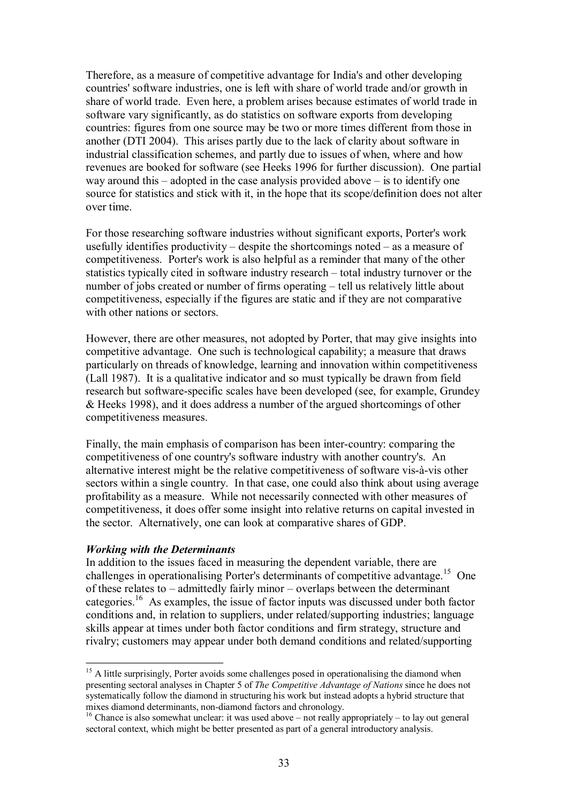Therefore, as a measure of competitive advantage for India's and other developing countries' software industries, one is left with share of world trade and/or growth in share of world trade. Even here, a problem arises because estimates of world trade in software vary significantly, as do statistics on software exports from developing countries: figures from one source may be two or more times different from those in another (DTI 2004). This arises partly due to the lack of clarity about software in industrial classification schemes, and partly due to issues of when, where and how revenues are booked for software (see Heeks 1996 for further discussion). One partial way around this – adopted in the case analysis provided above – is to identify one source for statistics and stick with it, in the hope that its scope/definition does not alter over time.

For those researching software industries without significant exports, Porter's work usefully identifies productivity – despite the shortcomings noted – as a measure of competitiveness. Porter's work is also helpful as a reminder that many of the other statistics typically cited in software industry research – total industry turnover or the number of jobs created or number of firms operating – tell us relatively little about competitiveness, especially if the figures are static and if they are not comparative with other nations or sectors.

However, there are other measures, not adopted by Porter, that may give insights into competitive advantage. One such is technological capability; a measure that draws particularly on threads of knowledge, learning and innovation within competitiveness (Lall 1987). It is a qualitative indicator and so must typically be drawn from field research but software-specific scales have been developed (see, for example, Grundey & Heeks 1998), and it does address a number of the argued shortcomings of other competitiveness measures.

Finally, the main emphasis of comparison has been inter-country: comparing the competitiveness of one country's software industry with another country's. An alternative interest might be the relative competitiveness of software vis-à-vis other sectors within a single country. In that case, one could also think about using average profitability as a measure. While not necessarily connected with other measures of competitiveness, it does offer some insight into relative returns on capital invested in the sector. Alternatively, one can look at comparative shares of GDP.

#### *Working with the Determinants*

In addition to the issues faced in measuring the dependent variable, there are challenges in operationalising Porter's determinants of competitive advantage.<sup>15</sup> One of these relates to – admittedly fairly minor – overlaps between the determinant categories.<sup>16</sup> As examples, the issue of factor inputs was discussed under both factor conditions and, in relation to suppliers, under related/supporting industries; language skills appear at times under both factor conditions and firm strategy, structure and rivalry; customers may appear under both demand conditions and related/supporting

<sup>&</sup>lt;sup>15</sup> A little surprisingly, Porter avoids some challenges posed in operationalising the diamond when presenting sectoral analyses in Chapter 5 of *The Competitive Advantage of Nations* since he does not systematically follow the diamond in structuring his work but instead adopts a hybrid structure that mixes diamond determinants, non-diamond factors and chronology.

<sup>&</sup>lt;sup>16</sup> Chance is also somewhat unclear: it was used above – not really appropriately – to lay out general sectoral context, which might be better presented as part of a general introductory analysis.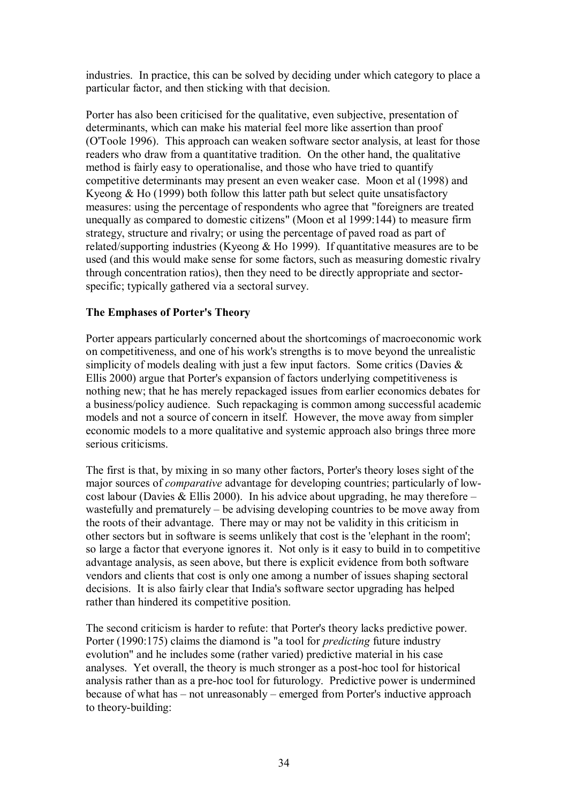industries. In practice, this can be solved by deciding under which category to place a particular factor, and then sticking with that decision.

Porter has also been criticised for the qualitative, even subjective, presentation of determinants, which can make his material feel more like assertion than proof (O'Toole 1996). This approach can weaken software sector analysis, at least for those readers who draw from a quantitative tradition. On the other hand, the qualitative method is fairly easy to operationalise, and those who have tried to quantify competitive determinants may present an even weaker case. Moon et al (1998) and Kyeong & Ho (1999) both follow this latter path but select quite unsatisfactory measures: using the percentage of respondents who agree that "foreigners are treated unequally as compared to domestic citizens" (Moon et al 1999:144) to measure firm strategy, structure and rivalry; or using the percentage of paved road as part of related/supporting industries (Kyeong & Ho 1999). If quantitative measures are to be used (and this would make sense for some factors, such as measuring domestic rivalry through concentration ratios), then they need to be directly appropriate and sector specific; typically gathered via a sectoral survey.

## <span id="page-35-0"></span>**The Emphases of Porter's Theory**

Porter appears particularly concerned about the shortcomings of macroeconomic work on competitiveness, and one of his work's strengths is to move beyond the unrealistic simplicity of models dealing with just a few input factors. Some critics (Davies  $\&$ Ellis 2000) argue that Porter's expansion of factors underlying competitiveness is nothing new; that he has merely repackaged issues from earlier economics debates for a business/policy audience. Such repackaging is common among successful academic models and not a source of concern in itself. However, the move away from simpler economic models to a more qualitative and systemic approach also brings three more serious criticisms.

The first is that, by mixing in so many other factors, Porter's theory loses sight of the major sources of *comparative* advantage for developing countries; particularly of low cost labour (Davies & Ellis 2000). In his advice about upgrading, he may therefore – wastefully and prematurely – be advising developing countries to be move away from the roots of their advantage. There may or may not be validity in this criticism in other sectors but in software is seems unlikely that cost is the 'elephant in the room'; so large a factor that everyone ignores it. Not only is it easy to build in to competitive advantage analysis, as seen above, but there is explicit evidence from both software vendors and clients that cost is only one among a number of issues shaping sectoral decisions. It is also fairly clear that India's software sector upgrading has helped rather than hindered its competitive position.

The second criticism is harder to refute: that Porter's theory lacks predictive power. Porter (1990:175) claims the diamond is "a tool for *predicting* future industry evolution" and he includes some (rather varied) predictive material in his case analyses. Yet overall, the theory is much stronger as a post-hoc tool for historical analysis rather than as a pre-hoc tool for futurology. Predictive power is undermined because of what has – not unreasonably – emerged from Porter's inductive approach to theory-building: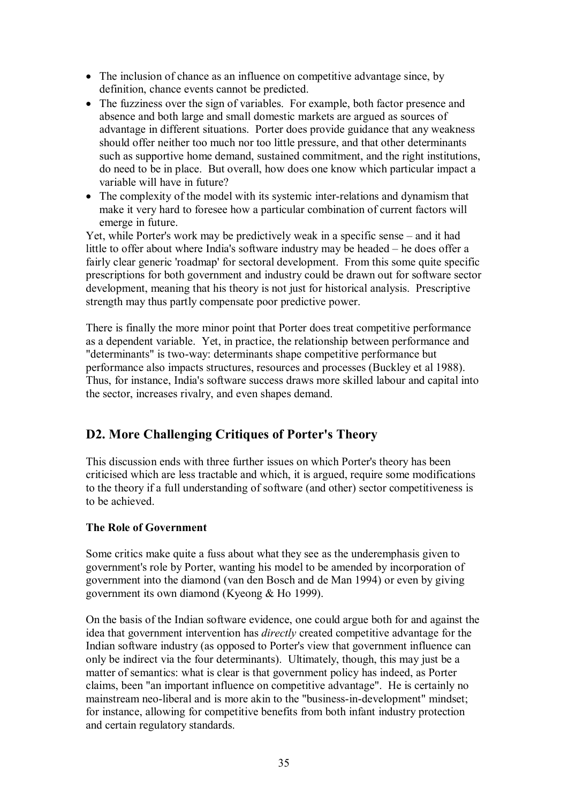- The inclusion of chance as an influence on competitive advantage since, by definition, chance events cannot be predicted.
- The fuzziness over the sign of variables. For example, both factor presence and absence and both large and small domestic markets are argued as sources of advantage in different situations. Porter does provide guidance that any weakness should offer neither too much nor too little pressure, and that other determinants such as supportive home demand, sustained commitment, and the right institutions, do need to be in place. But overall, how does one know which particular impact a variable will have in future?
- The complexity of the model with its systemic inter-relations and dynamism that make it very hard to foresee how a particular combination of current factors will emerge in future.

Yet, while Porter's work may be predictively weak in a specific sense – and it had little to offer about where India's software industry may be headed – he does offer a fairly clear generic 'roadmap' for sectoral development. From this some quite specific prescriptions for both government and industry could be drawn out for software sector development, meaning that his theory is not just for historical analysis. Prescriptive strength may thus partly compensate poor predictive power.

There is finally the more minor point that Porter does treat competitive performance as a dependent variable. Yet, in practice, the relationship between performance and "determinants" is two-way: determinants shape competitive performance but performance also impacts structures, resources and processes (Buckley et al 1988). Thus, for instance, India's software success draws more skilled labour and capital into the sector, increases rivalry, and even shapes demand.

## <span id="page-36-0"></span>**D2. More Challenging Critiques of Porter's Theory**

This discussion ends with three further issues on which Porter's theory has been criticised which are less tractable and which, it is argued, require some modifications to the theory if a full understanding of software (and other) sector competitiveness is to be achieved.

## <span id="page-36-1"></span>**The Role of Government**

Some critics make quite a fuss about what they see as the underemphasis given to government's role by Porter, wanting his model to be amended by incorporation of government into the diamond (van den Bosch and de Man 1994) or even by giving government its own diamond (Kyeong & Ho 1999).

On the basis of the Indian software evidence, one could argue both for and against the idea that government intervention has *directly* created competitive advantage for the Indian software industry (as opposed to Porter's view that government influence can only be indirect via the four determinants). Ultimately, though, this may just be a matter of semantics: what is clear is that government policy has indeed, as Porter claims, been "an important influence on competitive advantage". He is certainly no mainstream neo-liberal and is more akin to the "business-in-development" mindset; for instance, allowing for competitive benefits from both infant industry protection and certain regulatory standards.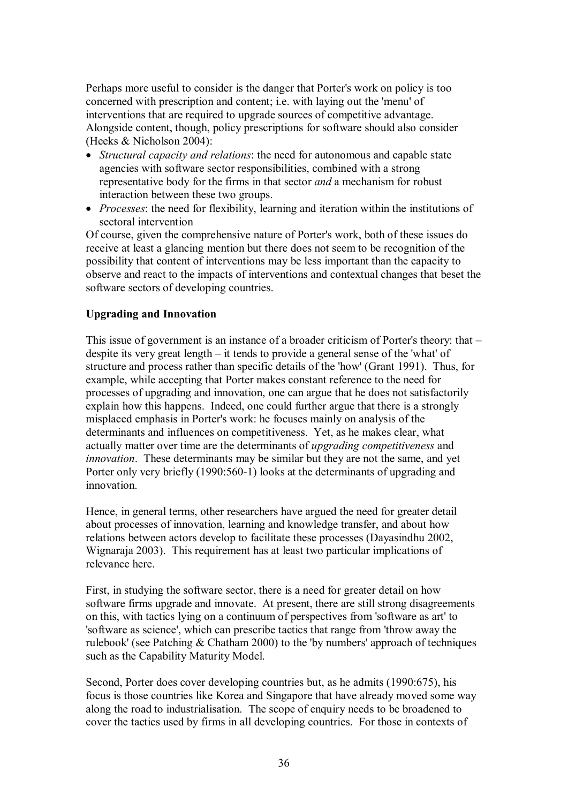Perhaps more useful to consider is the danger that Porter's work on policy is too concerned with prescription and content; i.e. with laying out the 'menu' of interventions that are required to upgrade sources of competitive advantage. Alongside content, though, policy prescriptions for software should also consider (Heeks & Nicholson 2004):

- · *Structural capacity and relations*: the need for autonomous and capable state agencies with software sector responsibilities, combined with a strong representative body for the firms in that sector *and* a mechanism forrobust interaction between these two groups.
- · *Processes*: the need for flexibility, learning and iteration within the institutions of sectoral intervention

Of course, given the comprehensive nature of Porter's work, both of these issues do receive at least a glancing mention but there does not seem to be recognition of the possibility that content of interventions may be less important than the capacity to observe and react to the impacts of interventions and contextual changes that beset the software sectors of developing countries.

## <span id="page-37-0"></span>**Upgrading and Innovation**

This issue of government is an instance of a broader criticism of Porter's theory: that – despite its very great length – it tends to provide a general sense of the 'what' of structure and process rather than specific details of the 'how' (Grant 1991). Thus, for example, while accepting that Porter makes constant reference to the need for processes of upgrading and innovation, one can argue that he does not satisfactorily explain how this happens. Indeed, one could further argue that there is a strongly misplaced emphasis in Porter's work: he focuses mainly on analysis of the determinants and influences on competitiveness. Yet, as he makes clear, what actually matter over time are the determinants of *upgrading competitiveness* and *innovation*. These determinants may be similar but they are not the same, and yet Porter only very briefly (1990:560-1) looks at the determinants of upgrading and innovation.

Hence, in general terms, other researchers have argued the need for greater detail about processes of innovation, learning and knowledge transfer, and about how relations between actors develop to facilitate these processes (Dayasindhu 2002, Wignaraja 2003). This requirement has at least two particular implications of relevance here.

First, in studying the software sector, there is a need for greater detail on how software firms upgrade and innovate. At present, there are still strong disagreements on this, with tactics lying on a continuum of perspectives from 'software as art' to 'software as science', which can prescribe tactics that range from 'throw away the rulebook' (see Patching & Chatham 2000) to the 'by numbers' approach of techniques such as the Capability Maturity Model.

Second, Porter does cover developing countries but, as he admits (1990:675), his focus is those countries like Korea and Singapore that have already moved some way along the road to industrialisation. The scope of enquiry needs to be broadened to cover the tactics used by firms in all developing countries. For those in contexts of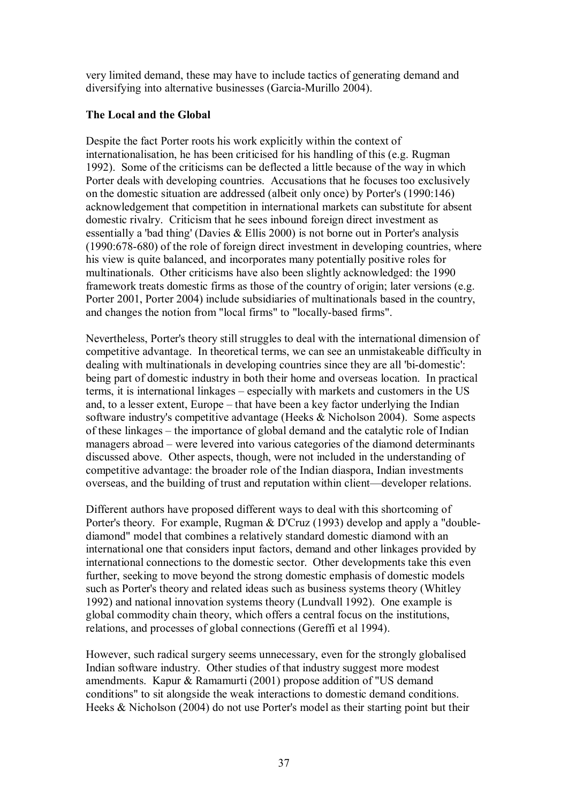very limited demand, these may have to include tactics of generating demand and diversifying into alternative businesses (Garcia-Murillo 2004).

## <span id="page-38-0"></span>**The Local and the Global**

Despite the fact Porter roots his work explicitly within the context of internationalisation, he has been criticised for his handling of this (e.g. Rugman 1992). Some of the criticisms can be deflected a little because of the way in which Porter deals with developing countries. Accusations that he focuses too exclusively on the domestic situation are addressed (albeit only once) by Porter's (1990:146) acknowledgement that competition in international markets can substitute for absent domestic rivalry. Criticism that he sees inbound foreign direct investment as essentially a 'bad thing' (Davies & Ellis 2000) is not borne out in Porter's analysis  $(1990:678-680)$  of the role of foreign direct investment in developing countries, where his view is quite balanced, and incorporates many potentially positive roles for multinationals. Other criticisms have also been slightly acknowledged: the 1990 framework treats domestic firms as those of the country of origin; later versions (e.g. Porter 2001, Porter 2004) include subsidiaries of multinationals based in the country, and changes the notion from "local firms" to "locally-based firms".

Nevertheless, Porter's theory still struggles to deal with the international dimension of competitive advantage. In theoretical terms, we can see an unmistakeable difficulty in dealing with multinationals in developing countries since they are all 'bi-domestic': being part of domestic industry in both their home and overseas location. In practical terms, it is international linkages – especially with markets and customers in the US and, to a lesser extent, Europe – that have been a key factor underlying the Indian software industry's competitive advantage (Heeks & Nicholson 2004). Some aspects of these linkages – the importance of global demand and the catalytic role of Indian managers abroad – were levered into various categories of the diamond determinants discussed above. Other aspects, though, were not included in the understanding of competitive advantage: the broader role of the Indian diaspora, Indian investments overseas, and the building of trust and reputation within client—developer relations.

Different authors have proposed different ways to deal with this shortcoming of Porter's theory. For example, Rugman & D'Cruz (1993) develop and apply a "double diamond" model that combines a relatively standard domestic diamond with an international one that considers input factors, demand and other linkages provided by international connections to the domestic sector. Other developments take this even further, seeking to move beyond the strong domestic emphasis of domestic models such as Porter's theory and related ideas such as business systems theory (Whitley 1992) and national innovation systems theory (Lundvall 1992). One example is global commodity chain theory, which offers a central focus on the institutions, relations, and processes of global connections (Gereffi et al 1994).

However, such radical surgery seems unnecessary, even for the strongly globalised Indian software industry. Other studies of that industry suggest more modest amendments. Kapur & Ramamurti (2001) propose addition of "US demand conditions" to sit alongside the weak interactions to domestic demand conditions. Heeks & Nicholson (2004) do not use Porter's model as their starting point but their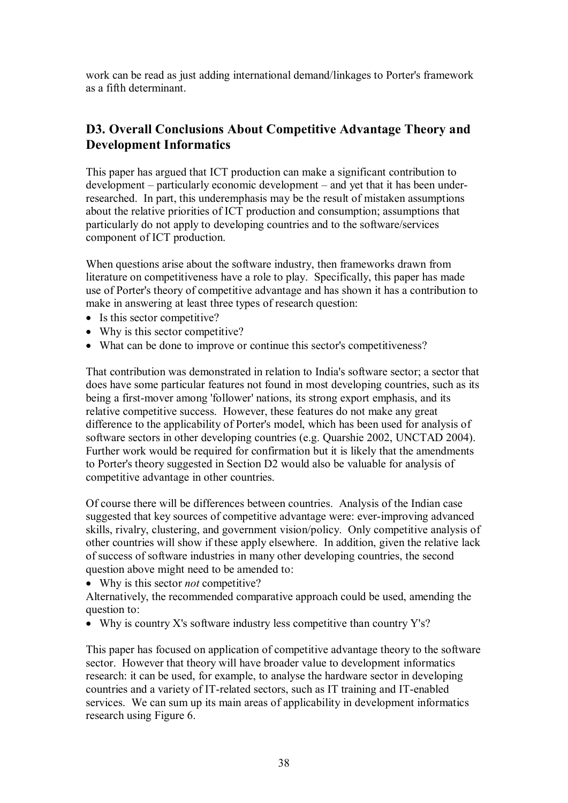work can be read as just adding international demand/linkages to Porter's framework as a fifth determinant.

## <span id="page-39-0"></span>**D3. Overall Conclusions About Competitive Advantage Theory and Development Informatics**

This paper has argued that ICT production can make a significant contribution to development – particularly economic development – and yet that it has been underresearched. In part, this underemphasis may be the result of mistaken assumptions about the relative priorities of ICT production and consumption; assumptions that particularly do not apply to developing countries and to the software/services component of ICT production.

When questions arise about the software industry, then frameworks drawn from literature on competitiveness have a role to play. Specifically, this paper has made use of Porter's theory of competitive advantage and has shown it has a contribution to make in answering at least three types of research question:

- Is this sector competitive?
- Why is this sector competitive?
- What can be done to improve or continue this sector's competitiveness?

That contribution was demonstrated in relation to India's software sector; a sector that does have some particular features not found in most developing countries, such as its being a first-mover among 'follower' nations, its strong export emphasis, and its relative competitive success. However, these features do not make any great difference to the applicability of Porter's model, which has been used for analysis of software sectors in other developing countries (e.g. Quarshie 2002, UNCTAD 2004). Further work would be required for confirmation but it is likely that the amendments to Porter's theory suggested in Section D2 would also be valuable for analysis of competitive advantage in other countries.

Of course there will be differences between countries. Analysis of the Indian case suggested that key sources of competitive advantage were: ever-improving advanced skills, rivalry, clustering, and government vision/policy. Only competitive analysis of other countries will show if these apply elsewhere. In addition, given the relative lack of success of software industries in many other developing countries, the second question above might need to be amended to:

· Why is this sector *not* competitive?

Alternatively, the recommended comparative approach could be used, amending the question to:

• Why is country X's software industry less competitive than country  $Y's$ ?

This paper has focused on application of competitive advantage theory to the software sector. However that theory will have broader value to development informatics research: it can be used, for example, to analyse the hardware sector in developing countries and a variety of IT-related sectors, such as IT training and IT-enabled services. We can sum up its main areas of applicability in development informatics research using Figure 6.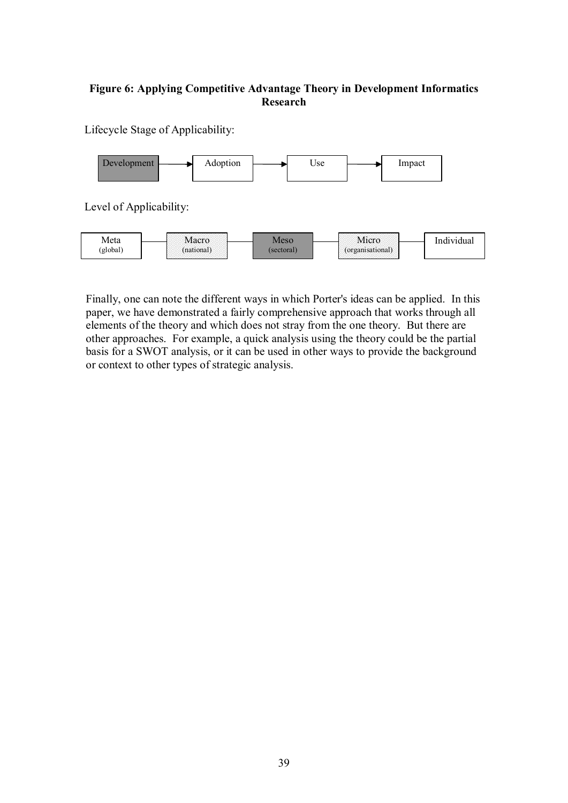## **Figure 6: Applying Competitive Advantage Theory in Development Informatics Research**

Lifecycle Stage of Applicability:



Finally, one can note the different ways in which Porter's ideas can be applied. In this paper, we have demonstrated a fairly comprehensive approach that works through all elements of the theory and which does not stray from the one theory. But there are other approaches. For example, a quick analysis using the theory could be the partial basis for a SWOT analysis, or it can be used in other ways to provide the background or context to other types of strategic analysis.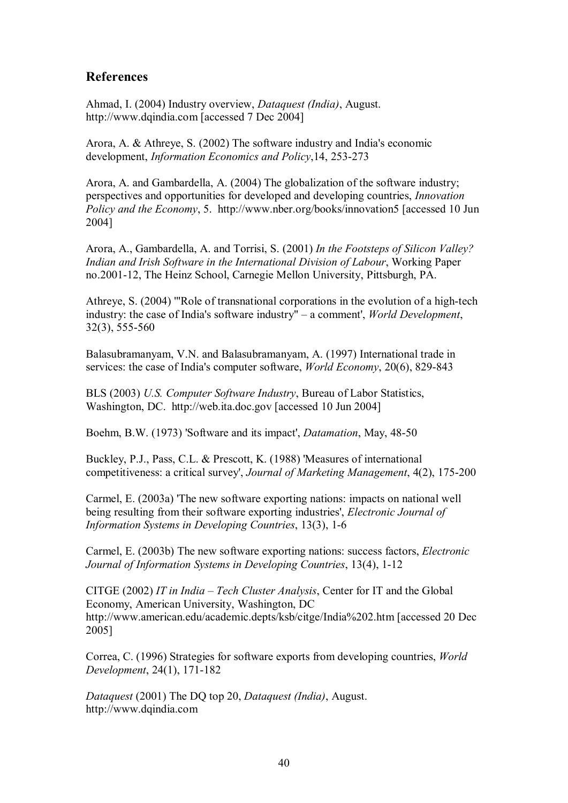## <span id="page-41-0"></span>**References**

Ahmad, I. (2004) Industry overview, *Dataquest (India)*, August. http://www.dqindia.com [accessed 7 Dec 2004]

Arora, A. & Athreye, S. (2002) The software industry and India's economic development, *Information Economics and Policy*, 14, 253-273

Arora, A. and Gambardella, A. (2004) The globalization of the software industry; perspectives and opportunities for developed and developing countries, *Innovation Policy and the Economy*, 5. http://www.nber.org/books/innovation5 [accessed 10 Jun 2004]

Arora, A., Gambardella, A. and Torrisi, S. (2001) *In the Footsteps of Silicon Valley? Indian and Irish Software in the International Division of Labour*, Working Paper no.2001-12, The Heinz School, Carnegie Mellon University, Pittsburgh, PA.

Athreye, S. (2004) "Role of transnational corporations in the evolution of a high-tech industry: the case of India's software industry" – a comment', *World Development*,  $32(3)$ , 555-560

Balasubramanyam, V.N. and Balasubramanyam, A. (1997) International trade in services: the case of India's computer software, *World Economy*, 20(6), 829-843

BLS (2003) *U.S. Computer Software Industry*, Bureau of Labor Statistics, Washington, DC. http://web.ita.doc.gov [accessed 10 Jun 2004]

Boehm, B.W. (1973) 'Software and its impact', *Datamation*, May, 48-50

Buckley, P.J., Pass, C.L. & Prescott, K. (1988) 'Measures of international competitiveness: a critical survey', *Journal of Marketing Management*, 4(2), 175-200

Carmel, E. (2003a) 'The new software exporting nations: impacts on national well being resulting from their software exporting industries', *Electronic Journal of Information Systems in Developing Countries*, 13(3), 1-6

Carmel, E. (2003b) The new software exporting nations: success factors, *Electronic Journal of Information Systems in Developing Countries, 13(4), 1-12* 

CITGE (2002) *IT in India – Tech Cluster Analysis*, Center for IT and the Global Economy, American University, Washington, DC http://www.american.edu/academic.depts/ksb/citge/India%202.htm [accessed 20 Dec 2005]

Correa, C. (1996) Strategies for software exports from developing countries, *World Development*, 24(1), 171-182

*Dataquest* (2001) The DQ top 20, *Dataquest (India)*, August. http://www.dqindia.com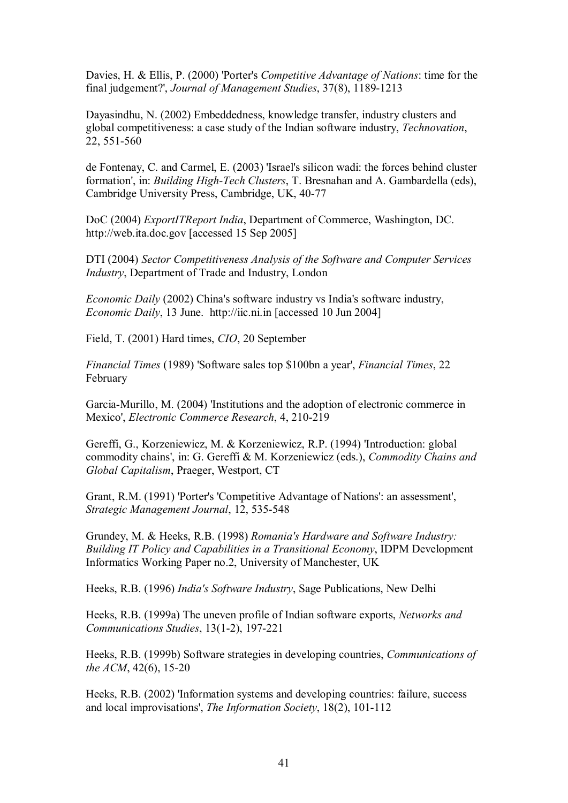Davies, H. & Ellis, P. (2000) 'Porter's *Competitive Advantage of Nations*: time for the final judgement?', *Journal of Management Studies*, 37(8), 1189-1213

Dayasindhu, N. (2002) Embeddedness, knowledge transfer, industry clusters and global competitiveness: a case study of the Indian software industry, *Technovation*, 22, 551-560

de Fontenay, C. and Carmel, E. (2003) 'Israel's silicon wadi: the forces behind cluster formation', in: *Building High-Tech Clusters*, T. Bresnahan and A. Gambardella (eds), Cambridge University Press, Cambridge, UK, 40-77

DoC (2004) *ExportITReport India*, Department of Commerce, Washington, DC. http://web.ita.doc.gov [accessed 15 Sep 2005]

DTI (2004) *Sector Competitiveness Analysis of the Software and Computer Services Industry*, Department of Trade and Industry, London

*Economic Daily* (2002) China's software industry vs India's software industry, *Economic Daily*, 13 June. http://iic.ni.in [accessed 10 Jun 2004]

Field, T. (2001) Hard times, *CIO*, 20 September

*Financial Times* (1989) 'Software sales top \$100bn a year', *Financial Times*, 22 February

Garcia-Murillo, M. (2004) 'Institutions and the adoption of electronic commerce in Mexico', *Electronic Commerce Research*, 4, 210-219

Gereffi, G., Korzeniewicz, M. & Korzeniewicz, R.P. (1994) 'Introduction: global commodity chains', in: G. Gereffi & M. Korzeniewicz (eds.), *Commodity Chains and Global Capitalism*, Praeger, Westport, CT

Grant, R.M. (1991) 'Porter's 'Competitive Advantage of Nations': an assessment', **Strategic Management Journal, 12, 535-548** 

Grundey, M. & Heeks, R.B. (1998) *Romania's Hardware and Software Industry: Building IT Policy and Capabilities in a Transitional Economy*, IDPM Development Informatics Working Paper no.2, University of Manchester, UK

Heeks, R.B. (1996) *India's Software Industry*, Sage Publications, New Delhi

Heeks, R.B. (1999a) The uneven profile of Indian software exports, *Networks and Communications Studies, 13(1-2), 197-221* 

Heeks, R.B. (1999b) Software strategies in developing countries, *Communications of the ACM*,  $42(6)$ ,  $15-20$ 

Heeks, R.B. (2002) 'Information systems and developing countries: failure, success and local improvisations', *The Information Society*, 18(2), 101-112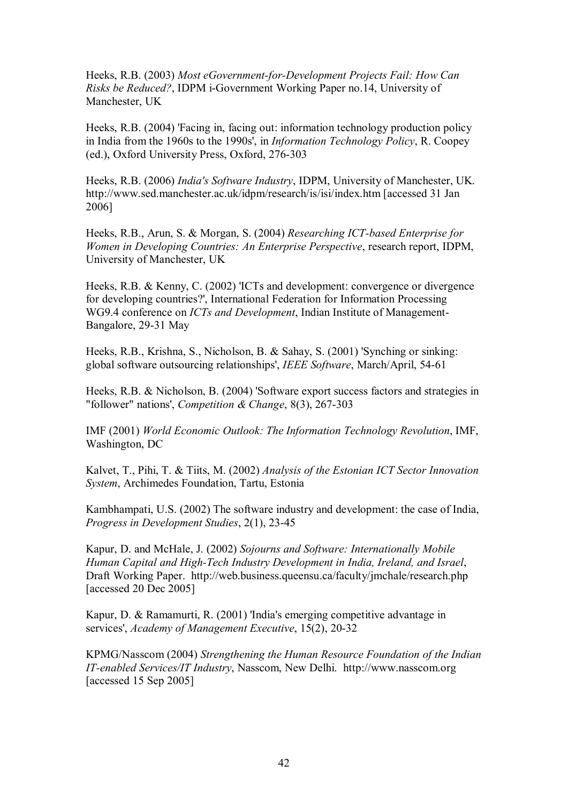Heeks, R.B. (2003) Most *eGovernment-for-Development Projects Fail: How Can Risks be Reduced?*, IDPM i-Government Working Paper no.14, University of Manchester, UK

Heeks, R.B. (2004) 'Facing in, facing out: information technology production policy in India from the 1960s to the 1990s', in *Information Technology Policy*, R. Coopey (ed.), Oxford University Press, Oxford, 276-303

Heeks, R.B. (2006) *India's Software Industry*, IDPM, University of Manchester, UK. http://www.sed.manchester.ac.uk/idpm/research/is/isi/index.htm [accessed 31 Jan 2006]

Heeks, R.B., Arun, S. & Morgan, S. (2004) *Researching ICT-based Enterprise for Women in Developing Countries: An Enterprise Perspective*, research report, IDPM, University of Manchester, UK

Heeks, R.B. & Kenny, C. (2002) 'ICTs and development: convergence or divergence for developing countries?', International Federation for Information Processing WG9.4 conference on *ICTs and Development*, Indian Institute of Management Bangalore, 29-31 May

Heeks, R.B., Krishna, S., Nicholson, B. & Sahay, S. (2001) 'Synching or sinking: global software outsourcing relationships', *IEEE Software*, March/April, 54-61

Heeks, R.B. & Nicholson, B. (2004) 'Software export success factors and strategies in "follower" nations', *Competition & Change*, 8(3), 267-303

IMF (2001) *World Economic Outlook: The Information Technology Revolution*, IMF, Washington, DC

Kalvet, T., Pihi, T. & Tiits, M. (2002) *Analysis of the Estonian ICT Sector Innovation System*, Archimedes Foundation, Tartu, Estonia

Kambhampati, U.S. (2002) The software industry and development: the case of India, *Progress in Development Studies, 2(1), 23-45* 

Kapur, D. and McHale, J. (2002) *Sojourns and Software: Internationally Mobile Human Capital and High-Tech Industry Development in India, Ireland, and Israel,* Draft Working Paper. http://web.business.queensu.ca/faculty/jmchale/research.php [accessed 20 Dec 2005]

Kapur, D. & Ramamurti, R. (2001) 'India's emerging competitive advantage in services', *Academy of Management Executive*, 15(2), 20-32

KPMG/Nasscom (2004) *Strengthening the Human Resource Foundation of the Indian ITenabled Services/IT Industry*, Nasscom, New Delhi. http://www.nasscom.org [accessed 15 Sep 2005]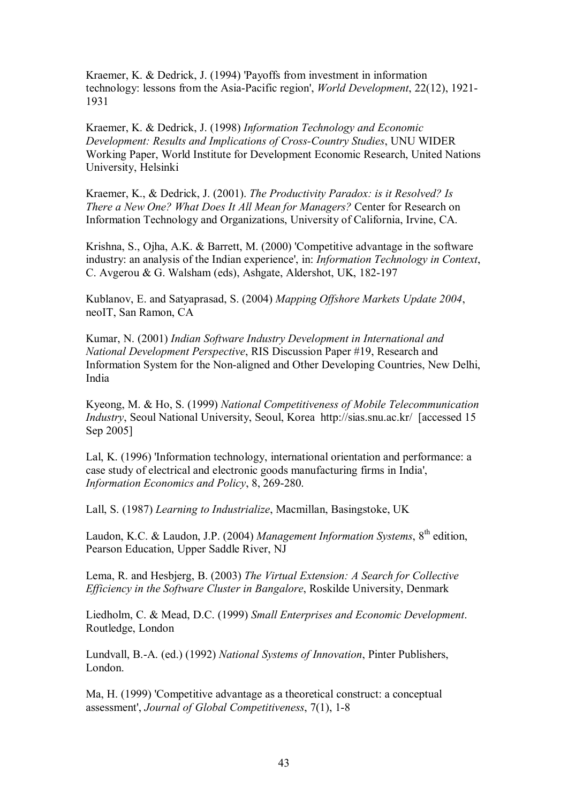Kraemer, K. & Dedrick, J. (1994) 'Payoffs from investment in information technology: lessons from the Asia-Pacific region', *World Development*, 22(12), 1921-1931

Kraemer, K. & Dedrick, J. (1998) *Information Technology and Economic Development: Results and Implications of CrossCountry Studies*, UNU WIDER Working Paper, World Institute for Development Economic Research, United Nations University, Helsinki

Kraemer, K., & Dedrick, J. (2001). *The Productivity Paradox: is it Resolved? Is There a New One? What Does It All Mean for Managers?* Center for Research on Information Technology and Organizations, University of California, Irvine, CA.

Krishna, S., Ojha, A.K. & Barrett, M. (2000) 'Competitive advantage in the software industry: an analysis of the Indian experience', in: *Information Technology in Context*, C. Avgerou & G. Walsham (eds), Ashgate, Aldershot, UK, 182-197

Kublanov, E. and Satyaprasad, S. (2004) *Mapping Offshore Markets Update 2004*, neoIT, San Ramon, CA

Kumar, N. (2001) *Indian Software Industry Development in International and National Development Perspective*, RIS Discussion Paper #19, Research and Information System for the Non-aligned and Other Developing Countries, New Delhi, India

Kyeong, M. & Ho,S. (1999) *National Competitiveness of Mobile Telecommunication Industry*, Seoul National University, Seoul, Korea http://sias.snu.ac.kr/ [accessed 15 Sep 2005]

Lal, K. (1996) 'Information technology, international orientation and performance: a case study of electrical and electronic goods manufacturing firms in India', *Information Economics and Policy*, 8, 269-280.

Lall, S. (1987) *Learning to Industrialize*, Macmillan, Basingstoke, UK

Laudon, K.C. & Laudon, J.P. (2004) *Management Information Systems*, 8<sup>th</sup> edition, Pearson Education, Upper Saddle River, NJ

Lema, R. and Hesbjerg, B. (2003) *The Virtual Extension: A Search for Collective Efficiency in the Software Cluster in Bangalore*, Roskilde University, Denmark

Liedholm, C. & Mead, D.C. (1999) *Small Enterprises and Economic Development*. Routledge, London

Lundvall, B.A. (ed.) (1992) *National Systems of Innovation*, Pinter Publishers, London.

Ma, H. (1999) 'Competitive advantage as a theoretical construct: a conceptual assessment', *Journal of Global Competitiveness*, 7(1), 1-8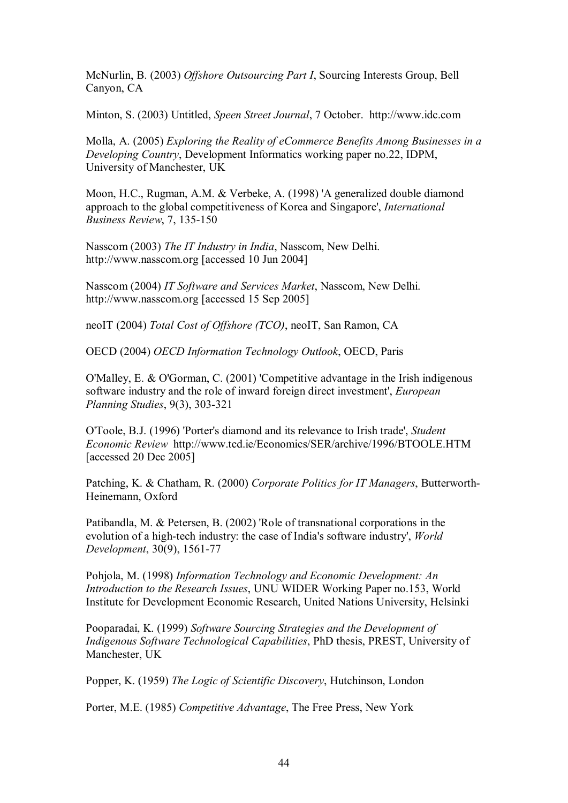McNurlin, B. (2003) *Offshore Outsourcing Part I*, Sourcing Interests Group, Bell Canyon, CA

Minton, S. (2003) Untitled, *Speen Street Journal*, 7 October. http://www.idc.com

Molla, A. (2005) *Exploring the Reality of eCommerce Benefits Among Businesses in a Developing Country*, Development Informatics working paper no.22, IDPM, University of Manchester, UK

Moon, H.C., Rugman, A.M. & Verbeke, A. (1998) 'A generalized double diamond approach to the global competitiveness of Korea and Singapore', *International Business Review, 7, 135-150* 

Nasscom (2003) *The IT Industry in India*, Nasscom, New Delhi. http://www.nasscom.org [accessed 10 Jun 2004]

Nasscom (2004) *IT Software and Services Market*, Nasscom, New Delhi. http://www.nasscom.org [accessed 15 Sep 2005]

neoIT (2004) *Total Cost of Offshore (TCO)*, neoIT, San Ramon, CA

OECD (2004) *OECD Information Technology Outlook*, OECD, Paris

O'Malley, E. & O'Gorman, C. (2001) 'Competitive advantage in the Irish indigenous software industry and the role of inward foreign direct investment', *European Planning Studies*, 9(3), 303-321

O'Toole, B.J. (1996) 'Porter's diamond and its relevance to Irish trade', *Student Economic Review* http://www.tcd.ie/Economics/SER/archive/1996/BTOOLE.HTM [accessed 20 Dec 2005]

Patching, K. & Chatham, R. (2000) *Corporate Politics for IT Managers*, Butterworth Heinemann, Oxford

Patibandla, M. & Petersen, B. (2002) 'Role of transnational corporations in the evolution of a high-tech industry: the case of India's software industry', *World Development*, 30(9), 1561-77

Pohjola, M. (1998) *Information Technology and Economic Development: An Introduction to the Research Issues*, UNU WIDER Working Paper no.153, World Institute for Development Economic Research, United Nations University, Helsinki

Pooparadai, K. (1999) *Software Sourcing Strategies and the Development of Indigenous Software Technological Capabilities*, PhD thesis, PREST, University of Manchester, UK

Popper, K. (1959) *The Logic of Scientific Discovery*, Hutchinson, London

Porter, M.E. (1985) *Competitive Advantage*, The Free Press, New York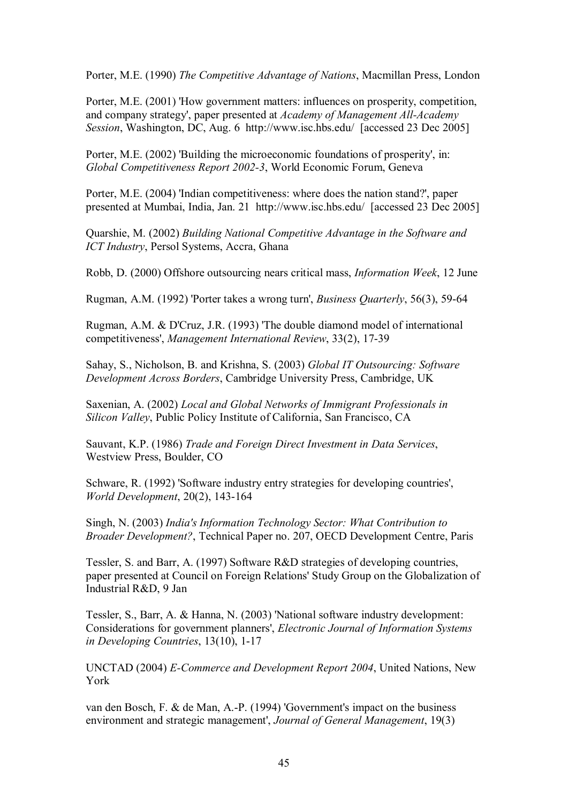Porter, M.E. (1990) *The Competitive Advantage of Nations*, Macmillan Press, London

Porter, M.E. (2001) 'How government matters: influences on prosperity, competition, and company strategy', paper presented at *Academy of Management All-Academy Session*, Washington, DC, Aug. 6 http://www.isc.hbs.edu/ [accessed 23 Dec 2005]

Porter, M.E. (2002) 'Building the microeconomic foundations of prosperity', in: *Global Competitiveness Report 20023*, World Economic Forum, Geneva

Porter, M.E. (2004) 'Indian competitiveness: where does the nation stand?', paper presented at Mumbai, India, Jan. 21 http://www.isc.hbs.edu/ [accessed 23 Dec 2005]

Quarshie, M. (2002) *Building National Competitive Advantage in the Software and ICT Industry*, Persol Systems, Accra, Ghana

Robb, D. (2000) Offshore outsourcing nears critical mass, *Information Week*, 12 June

Rugman, A.M. (1992) 'Porter takes a wrong turn', *Business Ouarterly*, 56(3), 59-64

Rugman, A.M. & D'Cruz, J.R. (1993) 'The double diamond model of international competitiveness', *Management International Review*, 33(2), 1739

Sahay, S., Nicholson, B. and Krishna, S. (2003) *Global IT Outsourcing: Software Development Across Borders*, Cambridge University Press, Cambridge, UK

Saxenian, A. (2002) *Local and Global Networks of Immigrant Professionals in Silicon Valley*, Public Policy Institute of California, San Francisco, CA

Sauvant, K.P. (1986) *Trade and Foreign Direct Investment in Data Services*, Westview Press, Boulder, CO

Schware, R. (1992) 'Software industry entry strategies for developing countries', *World Development*, 20(2), 143-164

Singh, N. (2003) *India's Information Technology Sector: What Contribution to Broader Development?*, Technical Paper no. 207, OECD Development Centre, Paris

Tessler, S. and Barr, A. (1997) Software R&D strategies of developing countries, paper presented at Council on Foreign Relations' Study Group on the Globalization of Industrial R&D, 9 Jan

Tessler, S., Barr, A. & Hanna, N. (2003) 'National software industry development: Considerations for government planners', *Electronic Journal of Information Systems in Developing Countries*, 13(10), 1-17

UNCTAD (2004) *E-Commerce and Development Report 2004*, United Nations, New York

van den Bosch, F. & de Man, A.P. (1994) 'Government's impact on the business environment and strategic management', *Journal of General Management*, 19(3)